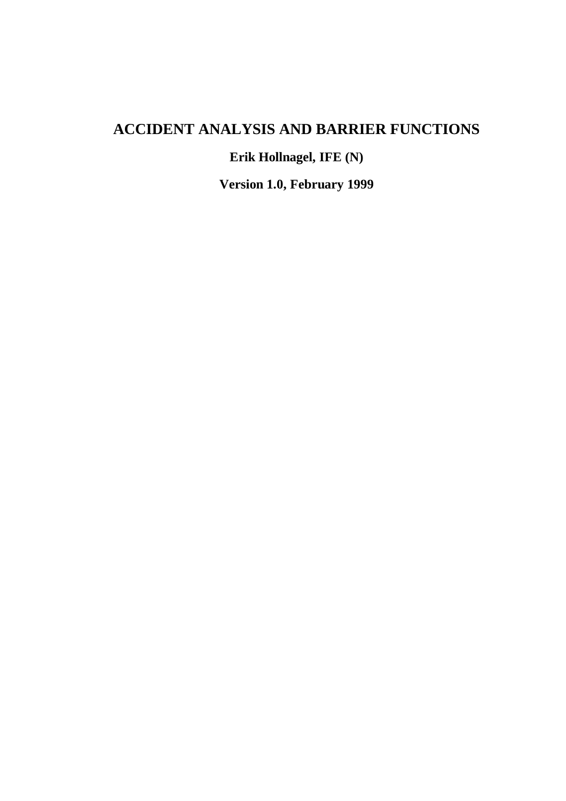# **ACCIDENT ANALYSIS AND BARRIER FUNCTIONS**

**Erik Hollnagel, IFE (N)**

**Version 1.0, February 1999**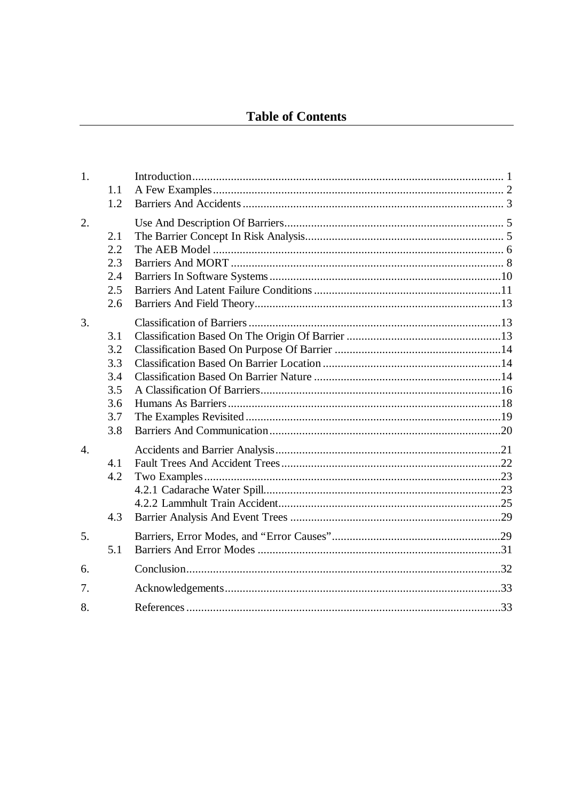| 1.1<br>1.2                                           |  |
|------------------------------------------------------|--|
| 2.1<br>2.2<br>2.3<br>2.4<br>2.5<br>2.6               |  |
| 3.1<br>3.2<br>3.3<br>3.4<br>3.5<br>3.6<br>3.7<br>3.8 |  |
| 4.1<br>4.2<br>4.3                                    |  |
| 5.1                                                  |  |
|                                                      |  |
|                                                      |  |
|                                                      |  |
|                                                      |  |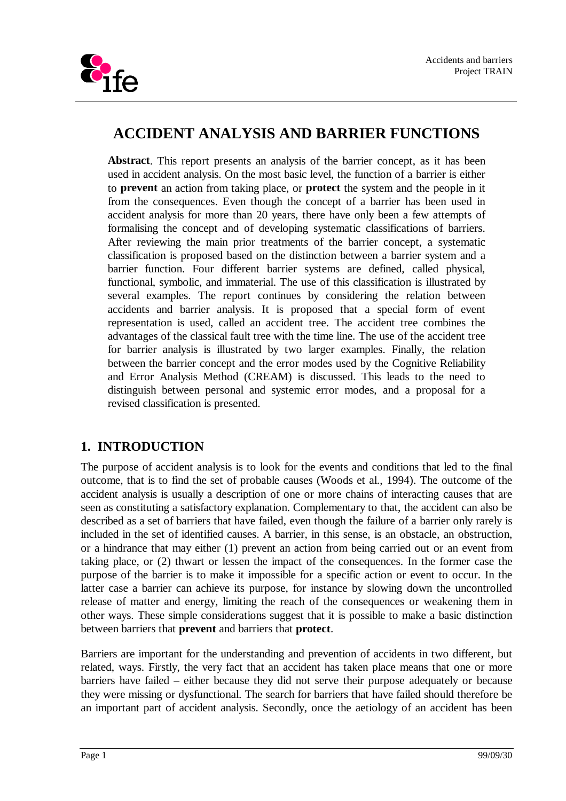

# **ACCIDENT ANALYSIS AND BARRIER FUNCTIONS**

**Abstract**. This report presents an analysis of the barrier concept, as it has been used in accident analysis. On the most basic level, the function of a barrier is either to **prevent** an action from taking place, or **protect** the system and the people in it from the consequences. Even though the concept of a barrier has been used in accident analysis for more than 20 years, there have only been a few attempts of formalising the concept and of developing systematic classifications of barriers. After reviewing the main prior treatments of the barrier concept, a systematic classification is proposed based on the distinction between a barrier system and a barrier function. Four different barrier systems are defined, called physical, functional, symbolic, and immaterial. The use of this classification is illustrated by several examples. The report continues by considering the relation between accidents and barrier analysis. It is proposed that a special form of event representation is used, called an accident tree. The accident tree combines the advantages of the classical fault tree with the time line. The use of the accident tree for barrier analysis is illustrated by two larger examples. Finally, the relation between the barrier concept and the error modes used by the Cognitive Reliability and Error Analysis Method (CREAM) is discussed. This leads to the need to distinguish between personal and systemic error modes, and a proposal for a revised classification is presented.

# **1. INTRODUCTION**

The purpose of accident analysis is to look for the events and conditions that led to the final outcome, that is to find the set of probable causes (Woods et al., 1994). The outcome of the accident analysis is usually a description of one or more chains of interacting causes that are seen as constituting a satisfactory explanation. Complementary to that, the accident can also be described as a set of barriers that have failed, even though the failure of a barrier only rarely is included in the set of identified causes. A barrier, in this sense, is an obstacle, an obstruction, or a hindrance that may either (1) prevent an action from being carried out or an event from taking place, or (2) thwart or lessen the impact of the consequences. In the former case the purpose of the barrier is to make it impossible for a specific action or event to occur. In the latter case a barrier can achieve its purpose, for instance by slowing down the uncontrolled release of matter and energy, limiting the reach of the consequences or weakening them in other ways. These simple considerations suggest that it is possible to make a basic distinction between barriers that **prevent** and barriers that **protect**.

Barriers are important for the understanding and prevention of accidents in two different, but related, ways. Firstly, the very fact that an accident has taken place means that one or more barriers have failed – either because they did not serve their purpose adequately or because they were missing or dysfunctional. The search for barriers that have failed should therefore be an important part of accident analysis. Secondly, once the aetiology of an accident has been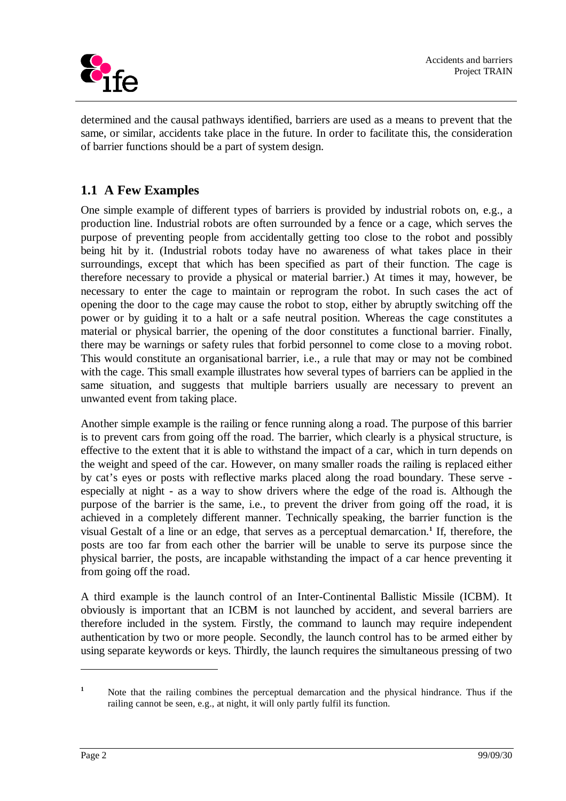

determined and the causal pathways identified, barriers are used as a means to prevent that the same, or similar, accidents take place in the future. In order to facilitate this, the consideration of barrier functions should be a part of system design.

# **1.1 A Few Examples**

One simple example of different types of barriers is provided by industrial robots on, e.g., a production line. Industrial robots are often surrounded by a fence or a cage, which serves the purpose of preventing people from accidentally getting too close to the robot and possibly being hit by it. (Industrial robots today have no awareness of what takes place in their surroundings, except that which has been specified as part of their function. The cage is therefore necessary to provide a physical or material barrier.) At times it may, however, be necessary to enter the cage to maintain or reprogram the robot. In such cases the act of opening the door to the cage may cause the robot to stop, either by abruptly switching off the power or by guiding it to a halt or a safe neutral position. Whereas the cage constitutes a material or physical barrier, the opening of the door constitutes a functional barrier. Finally, there may be warnings or safety rules that forbid personnel to come close to a moving robot. This would constitute an organisational barrier, i.e., a rule that may or may not be combined with the cage. This small example illustrates how several types of barriers can be applied in the same situation, and suggests that multiple barriers usually are necessary to prevent an unwanted event from taking place.

Another simple example is the railing or fence running along a road. The purpose of this barrier is to prevent cars from going off the road. The barrier, which clearly is a physical structure, is effective to the extent that it is able to withstand the impact of a car, which in turn depends on the weight and speed of the car. However, on many smaller roads the railing is replaced either by cat's eyes or posts with reflective marks placed along the road boundary. These serve especially at night - as a way to show drivers where the edge of the road is. Although the purpose of the barrier is the same, i.e., to prevent the driver from going off the road, it is achieved in a completely different manner. Technically speaking, the barrier function is the visual Gestalt of a line or an edge, that serves as a perceptual demarcation.**<sup>1</sup>** If, therefore, the posts are too far from each other the barrier will be unable to serve its purpose since the physical barrier, the posts, are incapable withstanding the impact of a car hence preventing it from going off the road.

A third example is the launch control of an Inter-Continental Ballistic Missile (ICBM). It obviously is important that an ICBM is not launched by accident, and several barriers are therefore included in the system. Firstly, the command to launch may require independent authentication by two or more people. Secondly, the launch control has to be armed either by using separate keywords or keys. Thirdly, the launch requires the simultaneous pressing of two

**<sup>1</sup>** Note that the railing combines the perceptual demarcation and the physical hindrance. Thus if the railing cannot be seen, e.g., at night, it will only partly fulfil its function.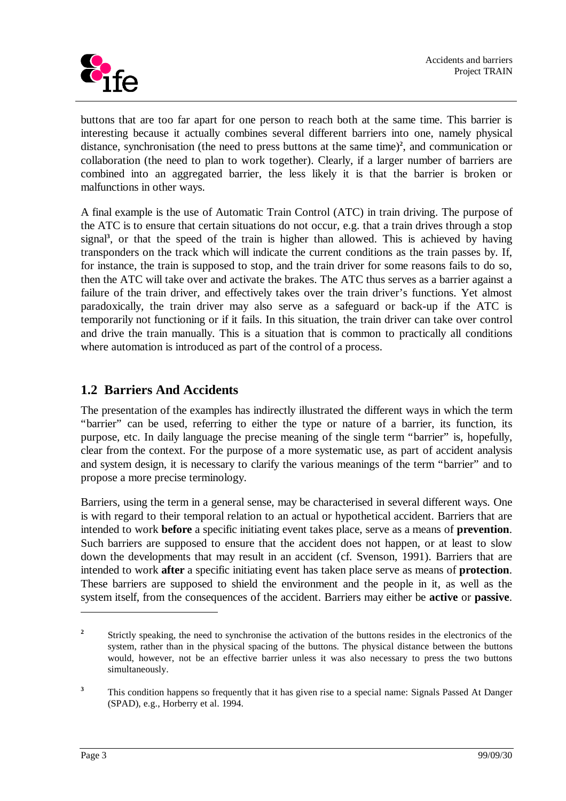

buttons that are too far apart for one person to reach both at the same time. This barrier is interesting because it actually combines several different barriers into one, namely physical distance, synchronisation (the need to press buttons at the same time)<sup>2</sup>, and communication or collaboration (the need to plan to work together). Clearly, if a larger number of barriers are combined into an aggregated barrier, the less likely it is that the barrier is broken or malfunctions in other ways.

A final example is the use of Automatic Train Control (ATC) in train driving. The purpose of the ATC is to ensure that certain situations do not occur, e.g. that a train drives through a stop signal**<sup>3</sup>** , or that the speed of the train is higher than allowed. This is achieved by having transponders on the track which will indicate the current conditions as the train passes by. If, for instance, the train is supposed to stop, and the train driver for some reasons fails to do so, then the ATC will take over and activate the brakes. The ATC thus serves as a barrier against a failure of the train driver, and effectively takes over the train driver's functions. Yet almost paradoxically, the train driver may also serve as a safeguard or back-up if the ATC is temporarily not functioning or if it fails. In this situation, the train driver can take over control and drive the train manually. This is a situation that is common to practically all conditions where automation is introduced as part of the control of a process.

## **1.2 Barriers And Accidents**

The presentation of the examples has indirectly illustrated the different ways in which the term "barrier" can be used, referring to either the type or nature of a barrier, its function, its purpose, etc. In daily language the precise meaning of the single term "barrier" is, hopefully, clear from the context. For the purpose of a more systematic use, as part of accident analysis and system design, it is necessary to clarify the various meanings of the term "barrier" and to propose a more precise terminology.

Barriers, using the term in a general sense, may be characterised in several different ways. One is with regard to their temporal relation to an actual or hypothetical accident. Barriers that are intended to work **before** a specific initiating event takes place, serve as a means of **prevention**. Such barriers are supposed to ensure that the accident does not happen, or at least to slow down the developments that may result in an accident (cf. Svenson, 1991). Barriers that are intended to work **after** a specific initiating event has taken place serve as means of **protection**. These barriers are supposed to shield the environment and the people in it, as well as the system itself, from the consequences of the accident. Barriers may either be **active** or **passive**.

**<sup>2</sup>** Strictly speaking, the need to synchronise the activation of the buttons resides in the electronics of the system, rather than in the physical spacing of the buttons. The physical distance between the buttons would, however, not be an effective barrier unless it was also necessary to press the two buttons simultaneously.

**<sup>3</sup>** This condition happens so frequently that it has given rise to a special name: Signals Passed At Danger (SPAD), e.g., Horberry et al. 1994.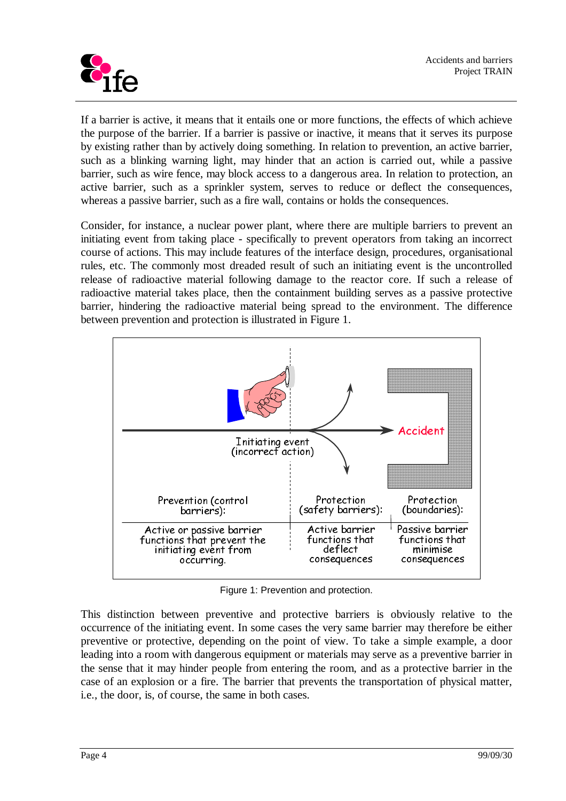

If a barrier is active, it means that it entails one or more functions, the effects of which achieve the purpose of the barrier. If a barrier is passive or inactive, it means that it serves its purpose by existing rather than by actively doing something. In relation to prevention, an active barrier, such as a blinking warning light, may hinder that an action is carried out, while a passive barrier, such as wire fence, may block access to a dangerous area. In relation to protection, an active barrier, such as a sprinkler system, serves to reduce or deflect the consequences, whereas a passive barrier, such as a fire wall, contains or holds the consequences.

Consider, for instance, a nuclear power plant, where there are multiple barriers to prevent an initiating event from taking place - specifically to prevent operators from taking an incorrect course of actions. This may include features of the interface design, procedures, organisational rules, etc. The commonly most dreaded result of such an initiating event is the uncontrolled release of radioactive material following damage to the reactor core. If such a release of radioactive material takes place, then the containment building serves as a passive protective barrier, hindering the radioactive material being spread to the environment. The difference between prevention and protection is illustrated in Figure 1.



Figure 1: Prevention and protection.

This distinction between preventive and protective barriers is obviously relative to the occurrence of the initiating event. In some cases the very same barrier may therefore be either preventive or protective, depending on the point of view. To take a simple example, a door leading into a room with dangerous equipment or materials may serve as a preventive barrier in the sense that it may hinder people from entering the room, and as a protective barrier in the case of an explosion or a fire. The barrier that prevents the transportation of physical matter, i.e., the door, is, of course, the same in both cases.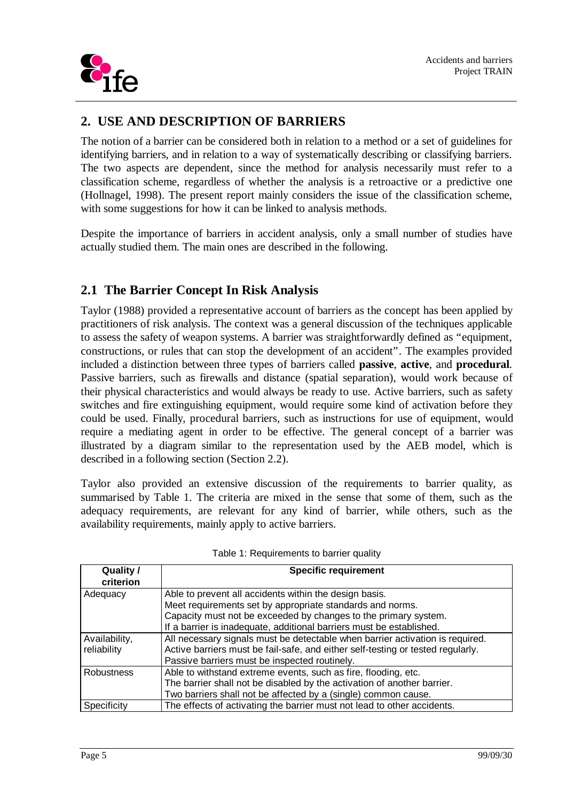

# **2. USE AND DESCRIPTION OF BARRIERS**

The notion of a barrier can be considered both in relation to a method or a set of guidelines for identifying barriers, and in relation to a way of systematically describing or classifying barriers. The two aspects are dependent, since the method for analysis necessarily must refer to a classification scheme, regardless of whether the analysis is a retroactive or a predictive one (Hollnagel, 1998). The present report mainly considers the issue of the classification scheme, with some suggestions for how it can be linked to analysis methods.

Despite the importance of barriers in accident analysis, only a small number of studies have actually studied them. The main ones are described in the following.

## **2.1 The Barrier Concept In Risk Analysis**

Taylor (1988) provided a representative account of barriers as the concept has been applied by practitioners of risk analysis. The context was a general discussion of the techniques applicable to assess the safety of weapon systems. A barrier was straightforwardly defined as "equipment, constructions, or rules that can stop the development of an accident". The examples provided included a distinction between three types of barriers called **passive**, **active**, and **procedural**. Passive barriers, such as firewalls and distance (spatial separation), would work because of their physical characteristics and would always be ready to use. Active barriers, such as safety switches and fire extinguishing equipment, would require some kind of activation before they could be used. Finally, procedural barriers, such as instructions for use of equipment, would require a mediating agent in order to be effective. The general concept of a barrier was illustrated by a diagram similar to the representation used by the AEB model, which is described in a following section (Section 2.2).

Taylor also provided an extensive discussion of the requirements to barrier quality, as summarised by Table 1. The criteria are mixed in the sense that some of them, such as the adequacy requirements, are relevant for any kind of barrier, while others, such as the availability requirements, mainly apply to active barriers.

| Quality /<br><b>Specific requirement</b><br>criterion |                                                                                 |
|-------------------------------------------------------|---------------------------------------------------------------------------------|
| Adequacy                                              | Able to prevent all accidents within the design basis.                          |
|                                                       | Meet requirements set by appropriate standards and norms.                       |
|                                                       | Capacity must not be exceeded by changes to the primary system.                 |
|                                                       | If a barrier is inadequate, additional barriers must be established.            |
| Availability,                                         | All necessary signals must be detectable when barrier activation is required.   |
| reliability                                           | Active barriers must be fail-safe, and either self-testing or tested regularly. |
|                                                       | Passive barriers must be inspected routinely.                                   |
| <b>Robustness</b>                                     | Able to withstand extreme events, such as fire, flooding, etc.                  |
|                                                       | The barrier shall not be disabled by the activation of another barrier.         |
|                                                       | Two barriers shall not be affected by a (single) common cause.                  |
| Specificity                                           | The effects of activating the barrier must not lead to other accidents.         |

| Table 1: Requirements to barrier quality |
|------------------------------------------|
|------------------------------------------|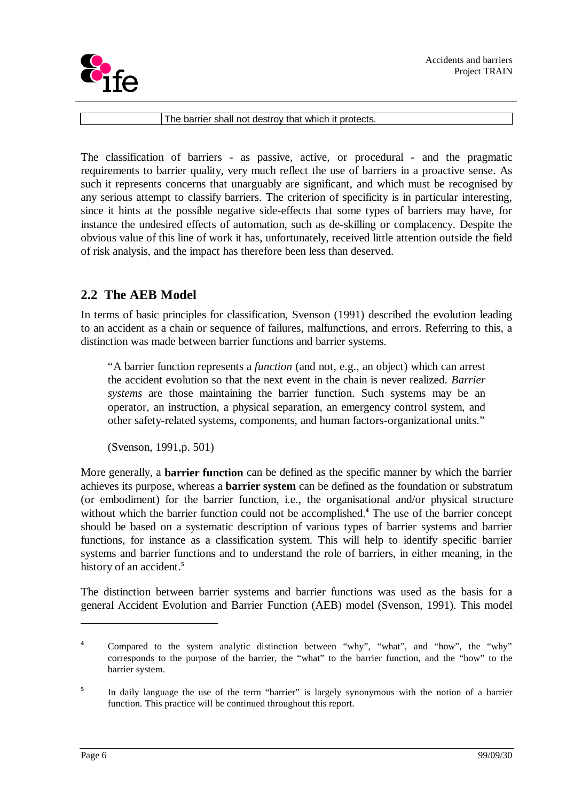

The barrier shall not destroy that which it protects.

The classification of barriers - as passive, active, or procedural - and the pragmatic requirements to barrier quality, very much reflect the use of barriers in a proactive sense. As such it represents concerns that unarguably are significant, and which must be recognised by any serious attempt to classify barriers. The criterion of specificity is in particular interesting, since it hints at the possible negative side-effects that some types of barriers may have, for instance the undesired effects of automation, such as de-skilling or complacency. Despite the obvious value of this line of work it has, unfortunately, received little attention outside the field of risk analysis, and the impact has therefore been less than deserved.

## **2.2 The AEB Model**

In terms of basic principles for classification, Svenson (1991) described the evolution leading to an accident as a chain or sequence of failures, malfunctions, and errors. Referring to this, a distinction was made between barrier functions and barrier systems.

"A barrier function represents a *function* (and not, e.g., an object) which can arrest the accident evolution so that the next event in the chain is never realized. *Barrier systems* are those maintaining the barrier function. Such systems may be an operator, an instruction, a physical separation, an emergency control system, and other safety-related systems, components, and human factors-organizational units."

(Svenson, 1991,p. 501)

More generally, a **barrier function** can be defined as the specific manner by which the barrier achieves its purpose, whereas a **barrier system** can be defined as the foundation or substratum (or embodiment) for the barrier function, i.e., the organisational and/or physical structure without which the barrier function could not be accomplished.**<sup>4</sup>** The use of the barrier concept should be based on a systematic description of various types of barrier systems and barrier functions, for instance as a classification system. This will help to identify specific barrier systems and barrier functions and to understand the role of barriers, in either meaning, in the history of an accident.**<sup>5</sup>**

The distinction between barrier systems and barrier functions was used as the basis for a general Accident Evolution and Barrier Function (AEB) model (Svenson, 1991). This model

**<sup>4</sup>** Compared to the system analytic distinction between "why", "what", and "how", the "why" corresponds to the purpose of the barrier, the "what" to the barrier function, and the "how" to the barrier system.

**<sup>5</sup>** In daily language the use of the term "barrier" is largely synonymous with the notion of a barrier function. This practice will be continued throughout this report.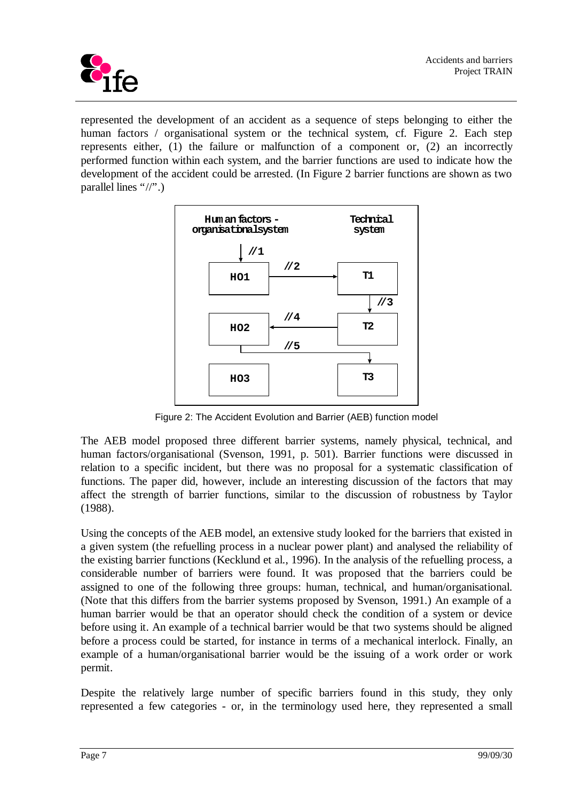

represented the development of an accident as a sequence of steps belonging to either the human factors / organisational system or the technical system, cf. Figure 2. Each step represents either, (1) the failure or malfunction of a component or, (2) an incorrectly performed function within each system, and the barrier functions are used to indicate how the development of the accident could be arrested. (In Figure 2 barrier functions are shown as two parallel lines "//".)



Figure 2: The Accident Evolution and Barrier (AEB) function model

The AEB model proposed three different barrier systems, namely physical, technical, and human factors/organisational (Svenson, 1991, p. 501). Barrier functions were discussed in relation to a specific incident, but there was no proposal for a systematic classification of functions. The paper did, however, include an interesting discussion of the factors that may affect the strength of barrier functions, similar to the discussion of robustness by Taylor (1988).

Using the concepts of the AEB model, an extensive study looked for the barriers that existed in a given system (the refuelling process in a nuclear power plant) and analysed the reliability of the existing barrier functions (Kecklund et al., 1996). In the analysis of the refuelling process, a considerable number of barriers were found. It was proposed that the barriers could be assigned to one of the following three groups: human, technical, and human/organisational. (Note that this differs from the barrier systems proposed by Svenson, 1991.) An example of a human barrier would be that an operator should check the condition of a system or device before using it. An example of a technical barrier would be that two systems should be aligned before a process could be started, for instance in terms of a mechanical interlock. Finally, an example of a human/organisational barrier would be the issuing of a work order or work permit.

Despite the relatively large number of specific barriers found in this study, they only represented a few categories - or, in the terminology used here, they represented a small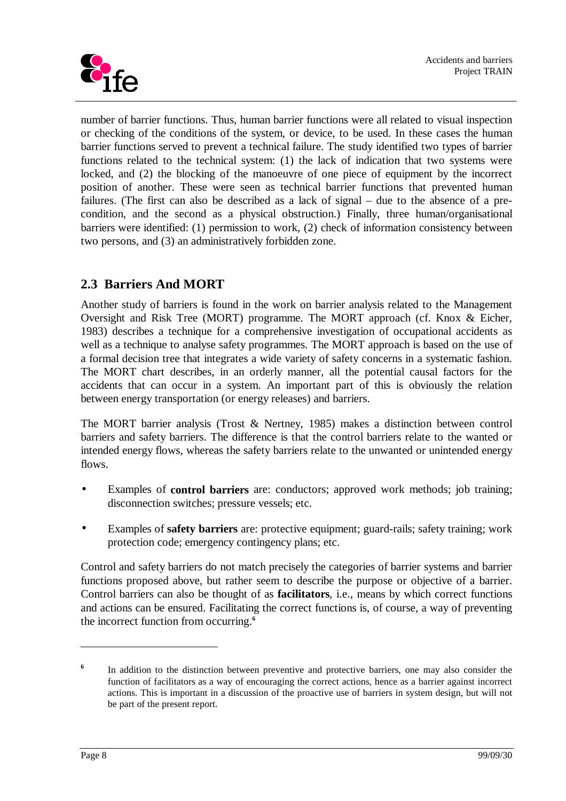

number of barrier functions. Thus, human barrier functions were all related to visual inspection or checking of the conditions of the system, or device, to be used. In these cases the human barrier functions served to prevent a technical failure. The study identified two types of barrier functions related to the technical system: (1) the lack of indication that two systems were locked, and (2) the blocking of the manoeuvre of one piece of equipment by the incorrect position of another. These were seen as technical barrier functions that prevented human failures. (The first can also be described as a lack of signal – due to the absence of a precondition, and the second as a physical obstruction.) Finally, three human/organisational barriers were identified: (1) permission to work, (2) check of information consistency between two persons, and (3) an administratively forbidden zone.

# **2.3 Barriers And MORT**

Another study of barriers is found in the work on barrier analysis related to the Management Oversight and Risk Tree (MORT) programme. The MORT approach (cf. Knox & Eicher, 1983) describes a technique for a comprehensive investigation of occupational accidents as well as a technique to analyse safety programmes. The MORT approach is based on the use of a formal decision tree that integrates a wide variety of safety concerns in a systematic fashion. The MORT chart describes, in an orderly manner, all the potential causal factors for the accidents that can occur in a system. An important part of this is obviously the relation between energy transportation (or energy releases) and barriers.

The MORT barrier analysis (Trost & Nertney, 1985) makes a distinction between control barriers and safety barriers. The difference is that the control barriers relate to the wanted or intended energy flows, whereas the safety barriers relate to the unwanted or unintended energy flows.

- Examples of **control barriers** are: conductors; approved work methods; job training; disconnection switches; pressure vessels; etc.
- Examples of **safety barriers** are: protective equipment; guard-rails; safety training; work protection code; emergency contingency plans; etc.

Control and safety barriers do not match precisely the categories of barrier systems and barrier functions proposed above, but rather seem to describe the purpose or objective of a barrier. Control barriers can also be thought of as **facilitators**, i.e., means by which correct functions and actions can be ensured. Facilitating the correct functions is, of course, a way of preventing the incorrect function from occurring.**<sup>6</sup>**

**<sup>6</sup>** In addition to the distinction between preventive and protective barriers, one may also consider the function of facilitators as a way of encouraging the correct actions, hence as a barrier against incorrect actions. This is important in a discussion of the proactive use of barriers in system design, but will not be part of the present report.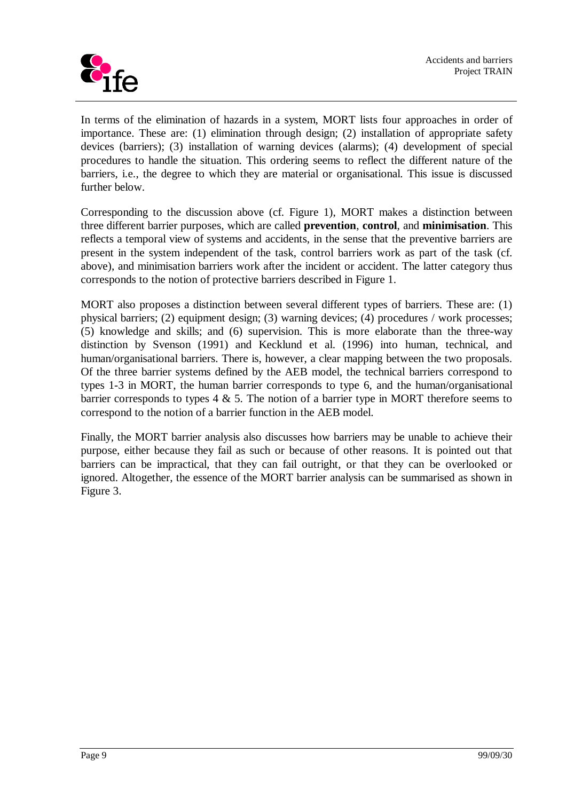

In terms of the elimination of hazards in a system, MORT lists four approaches in order of importance. These are: (1) elimination through design; (2) installation of appropriate safety devices (barriers); (3) installation of warning devices (alarms); (4) development of special procedures to handle the situation. This ordering seems to reflect the different nature of the barriers, i.e., the degree to which they are material or organisational. This issue is discussed further below.

Corresponding to the discussion above (cf. Figure 1), MORT makes a distinction between three different barrier purposes, which are called **prevention**, **control**, and **minimisation**. This reflects a temporal view of systems and accidents, in the sense that the preventive barriers are present in the system independent of the task, control barriers work as part of the task (cf. above), and minimisation barriers work after the incident or accident. The latter category thus corresponds to the notion of protective barriers described in Figure 1.

MORT also proposes a distinction between several different types of barriers. These are: (1) physical barriers; (2) equipment design; (3) warning devices; (4) procedures / work processes; (5) knowledge and skills; and (6) supervision. This is more elaborate than the three-way distinction by Svenson (1991) and Kecklund et al. (1996) into human, technical, and human/organisational barriers. There is, however, a clear mapping between the two proposals. Of the three barrier systems defined by the AEB model, the technical barriers correspond to types 1-3 in MORT, the human barrier corresponds to type 6, and the human/organisational barrier corresponds to types 4  $\&$  5. The notion of a barrier type in MORT therefore seems to correspond to the notion of a barrier function in the AEB model.

Finally, the MORT barrier analysis also discusses how barriers may be unable to achieve their purpose, either because they fail as such or because of other reasons. It is pointed out that barriers can be impractical, that they can fail outright, or that they can be overlooked or ignored. Altogether, the essence of the MORT barrier analysis can be summarised as shown in Figure 3.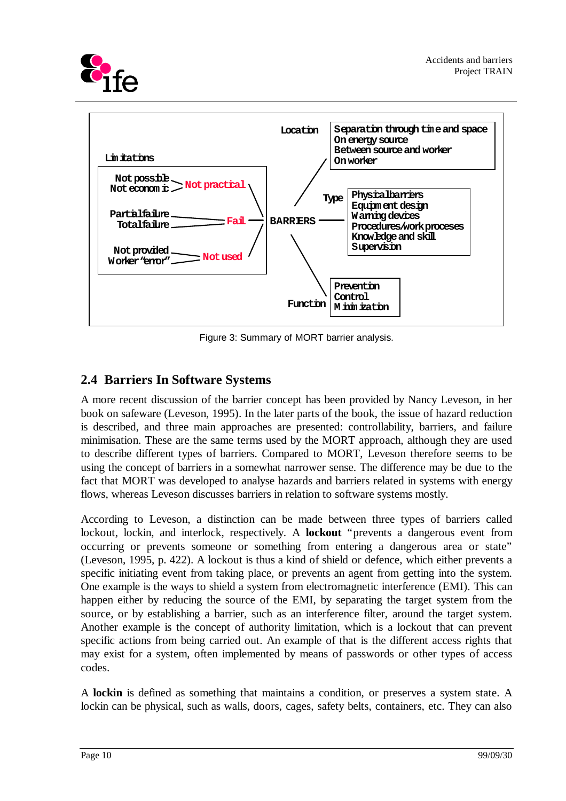



Figure 3: Summary of MORT barrier analysis.

# **2.4 Barriers In Software Systems**

A more recent discussion of the barrier concept has been provided by Nancy Leveson, in her book on safeware (Leveson, 1995). In the later parts of the book, the issue of hazard reduction is described, and three main approaches are presented: controllability, barriers, and failure minimisation. These are the same terms used by the MORT approach, although they are used to describe different types of barriers. Compared to MORT, Leveson therefore seems to be using the concept of barriers in a somewhat narrower sense. The difference may be due to the fact that MORT was developed to analyse hazards and barriers related in systems with energy flows, whereas Leveson discusses barriers in relation to software systems mostly.

According to Leveson, a distinction can be made between three types of barriers called lockout, lockin, and interlock, respectively. A **lockout** "prevents a dangerous event from occurring or prevents someone or something from entering a dangerous area or state" (Leveson, 1995, p. 422). A lockout is thus a kind of shield or defence, which either prevents a specific initiating event from taking place, or prevents an agent from getting into the system. One example is the ways to shield a system from electromagnetic interference (EMI). This can happen either by reducing the source of the EMI, by separating the target system from the source, or by establishing a barrier, such as an interference filter, around the target system. Another example is the concept of authority limitation, which is a lockout that can prevent specific actions from being carried out. An example of that is the different access rights that may exist for a system, often implemented by means of passwords or other types of access codes.

A **lockin** is defined as something that maintains a condition, or preserves a system state. A lockin can be physical, such as walls, doors, cages, safety belts, containers, etc. They can also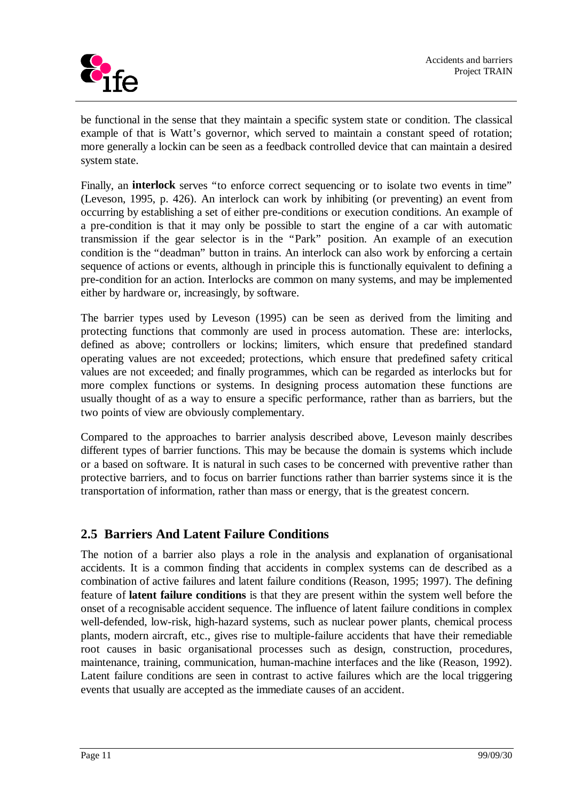

be functional in the sense that they maintain a specific system state or condition. The classical example of that is Watt's governor, which served to maintain a constant speed of rotation; more generally a lockin can be seen as a feedback controlled device that can maintain a desired system state.

Finally, an **interlock** serves "to enforce correct sequencing or to isolate two events in time" (Leveson, 1995, p. 426). An interlock can work by inhibiting (or preventing) an event from occurring by establishing a set of either pre-conditions or execution conditions. An example of a pre-condition is that it may only be possible to start the engine of a car with automatic transmission if the gear selector is in the "Park" position. An example of an execution condition is the "deadman" button in trains. An interlock can also work by enforcing a certain sequence of actions or events, although in principle this is functionally equivalent to defining a pre-condition for an action. Interlocks are common on many systems, and may be implemented either by hardware or, increasingly, by software.

The barrier types used by Leveson (1995) can be seen as derived from the limiting and protecting functions that commonly are used in process automation. These are: interlocks, defined as above; controllers or lockins; limiters, which ensure that predefined standard operating values are not exceeded; protections, which ensure that predefined safety critical values are not exceeded; and finally programmes, which can be regarded as interlocks but for more complex functions or systems. In designing process automation these functions are usually thought of as a way to ensure a specific performance, rather than as barriers, but the two points of view are obviously complementary.

Compared to the approaches to barrier analysis described above, Leveson mainly describes different types of barrier functions. This may be because the domain is systems which include or a based on software. It is natural in such cases to be concerned with preventive rather than protective barriers, and to focus on barrier functions rather than barrier systems since it is the transportation of information, rather than mass or energy, that is the greatest concern.

## **2.5 Barriers And Latent Failure Conditions**

The notion of a barrier also plays a role in the analysis and explanation of organisational accidents. It is a common finding that accidents in complex systems can de described as a combination of active failures and latent failure conditions (Reason, 1995; 1997). The defining feature of **latent failure conditions** is that they are present within the system well before the onset of a recognisable accident sequence. The influence of latent failure conditions in complex well-defended, low-risk, high-hazard systems, such as nuclear power plants, chemical process plants, modern aircraft, etc., gives rise to multiple-failure accidents that have their remediable root causes in basic organisational processes such as design, construction, procedures, maintenance, training, communication, human-machine interfaces and the like (Reason, 1992). Latent failure conditions are seen in contrast to active failures which are the local triggering events that usually are accepted as the immediate causes of an accident.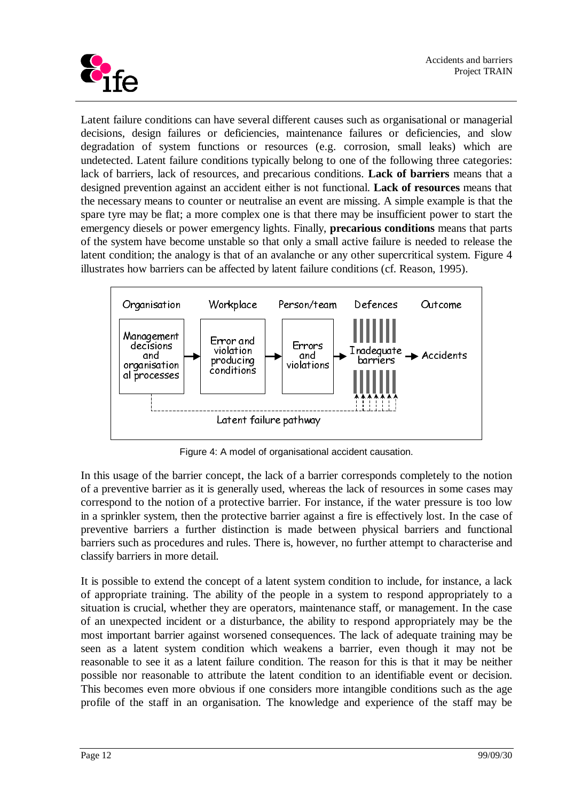

Latent failure conditions can have several different causes such as organisational or managerial decisions, design failures or deficiencies, maintenance failures or deficiencies, and slow degradation of system functions or resources (e.g. corrosion, small leaks) which are undetected. Latent failure conditions typically belong to one of the following three categories: lack of barriers, lack of resources, and precarious conditions. **Lack of barriers** means that a designed prevention against an accident either is not functional. **Lack of resources** means that the necessary means to counter or neutralise an event are missing. A simple example is that the spare tyre may be flat; a more complex one is that there may be insufficient power to start the emergency diesels or power emergency lights. Finally, **precarious conditions** means that parts of the system have become unstable so that only a small active failure is needed to release the latent condition; the analogy is that of an avalanche or any other supercritical system. Figure 4 illustrates how barriers can be affected by latent failure conditions (cf. Reason, 1995).



Figure 4: A model of organisational accident causation.

In this usage of the barrier concept, the lack of a barrier corresponds completely to the notion of a preventive barrier as it is generally used, whereas the lack of resources in some cases may correspond to the notion of a protective barrier. For instance, if the water pressure is too low in a sprinkler system, then the protective barrier against a fire is effectively lost. In the case of preventive barriers a further distinction is made between physical barriers and functional barriers such as procedures and rules. There is, however, no further attempt to characterise and classify barriers in more detail.

It is possible to extend the concept of a latent system condition to include, for instance, a lack of appropriate training. The ability of the people in a system to respond appropriately to a situation is crucial, whether they are operators, maintenance staff, or management. In the case of an unexpected incident or a disturbance, the ability to respond appropriately may be the most important barrier against worsened consequences. The lack of adequate training may be seen as a latent system condition which weakens a barrier, even though it may not be reasonable to see it as a latent failure condition. The reason for this is that it may be neither possible nor reasonable to attribute the latent condition to an identifiable event or decision. This becomes even more obvious if one considers more intangible conditions such as the age profile of the staff in an organisation. The knowledge and experience of the staff may be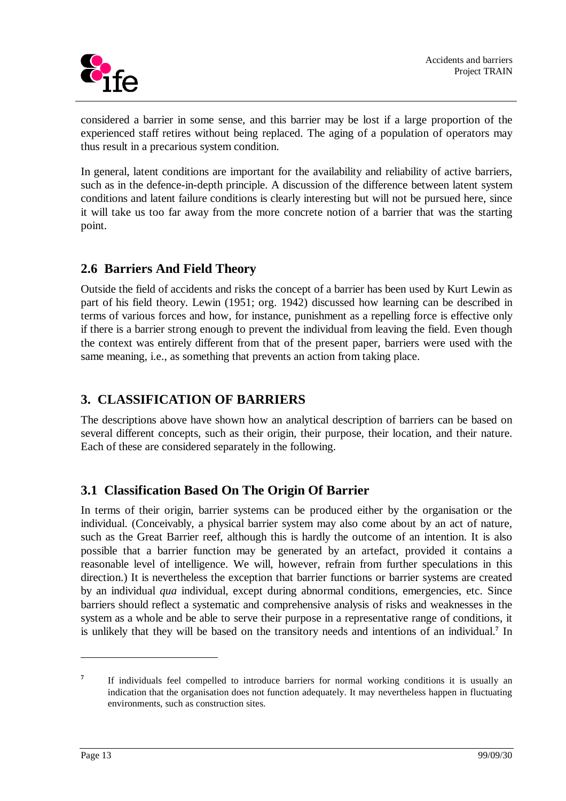

considered a barrier in some sense, and this barrier may be lost if a large proportion of the experienced staff retires without being replaced. The aging of a population of operators may thus result in a precarious system condition.

In general, latent conditions are important for the availability and reliability of active barriers, such as in the defence-in-depth principle. A discussion of the difference between latent system conditions and latent failure conditions is clearly interesting but will not be pursued here, since it will take us too far away from the more concrete notion of a barrier that was the starting point.

## **2.6 Barriers And Field Theory**

Outside the field of accidents and risks the concept of a barrier has been used by Kurt Lewin as part of his field theory. Lewin (1951; org. 1942) discussed how learning can be described in terms of various forces and how, for instance, punishment as a repelling force is effective only if there is a barrier strong enough to prevent the individual from leaving the field. Even though the context was entirely different from that of the present paper, barriers were used with the same meaning, i.e., as something that prevents an action from taking place.

## **3. CLASSIFICATION OF BARRIERS**

The descriptions above have shown how an analytical description of barriers can be based on several different concepts, such as their origin, their purpose, their location, and their nature. Each of these are considered separately in the following.

## **3.1 Classification Based On The Origin Of Barrier**

In terms of their origin, barrier systems can be produced either by the organisation or the individual. (Conceivably, a physical barrier system may also come about by an act of nature, such as the Great Barrier reef, although this is hardly the outcome of an intention. It is also possible that a barrier function may be generated by an artefact, provided it contains a reasonable level of intelligence. We will, however, refrain from further speculations in this direction.) It is nevertheless the exception that barrier functions or barrier systems are created by an individual *qua* individual, except during abnormal conditions, emergencies, etc. Since barriers should reflect a systematic and comprehensive analysis of risks and weaknesses in the system as a whole and be able to serve their purpose in a representative range of conditions, it is unlikely that they will be based on the transitory needs and intentions of an individual.<sup>7</sup> In

**<sup>7</sup>** If individuals feel compelled to introduce barriers for normal working conditions it is usually an indication that the organisation does not function adequately. It may nevertheless happen in fluctuating environments, such as construction sites.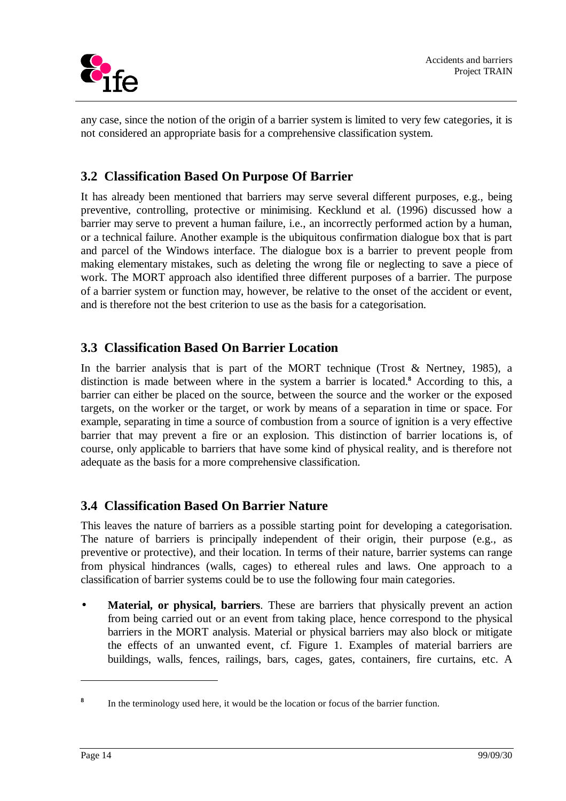

any case, since the notion of the origin of a barrier system is limited to very few categories, it is not considered an appropriate basis for a comprehensive classification system.

# **3.2 Classification Based On Purpose Of Barrier**

It has already been mentioned that barriers may serve several different purposes, e.g., being preventive, controlling, protective or minimising. Kecklund et al. (1996) discussed how a barrier may serve to prevent a human failure, i.e., an incorrectly performed action by a human, or a technical failure. Another example is the ubiquitous confirmation dialogue box that is part and parcel of the Windows interface. The dialogue box is a barrier to prevent people from making elementary mistakes, such as deleting the wrong file or neglecting to save a piece of work. The MORT approach also identified three different purposes of a barrier. The purpose of a barrier system or function may, however, be relative to the onset of the accident or event, and is therefore not the best criterion to use as the basis for a categorisation.

## **3.3 Classification Based On Barrier Location**

In the barrier analysis that is part of the MORT technique (Trost  $&$  Nertney, 1985), a distinction is made between where in the system a barrier is located.**<sup>8</sup>** According to this, a barrier can either be placed on the source, between the source and the worker or the exposed targets, on the worker or the target, or work by means of a separation in time or space. For example, separating in time a source of combustion from a source of ignition is a very effective barrier that may prevent a fire or an explosion. This distinction of barrier locations is, of course, only applicable to barriers that have some kind of physical reality, and is therefore not adequate as the basis for a more comprehensive classification.

## **3.4 Classification Based On Barrier Nature**

This leaves the nature of barriers as a possible starting point for developing a categorisation. The nature of barriers is principally independent of their origin, their purpose (e.g., as preventive or protective), and their location. In terms of their nature, barrier systems can range from physical hindrances (walls, cages) to ethereal rules and laws. One approach to a classification of barrier systems could be to use the following four main categories.

**Material, or physical, barriers**. These are barriers that physically prevent an action from being carried out or an event from taking place, hence correspond to the physical barriers in the MORT analysis. Material or physical barriers may also block or mitigate the effects of an unwanted event, cf. Figure 1. Examples of material barriers are buildings, walls, fences, railings, bars, cages, gates, containers, fire curtains, etc. A

**<sup>8</sup>** In the terminology used here, it would be the location or focus of the barrier function.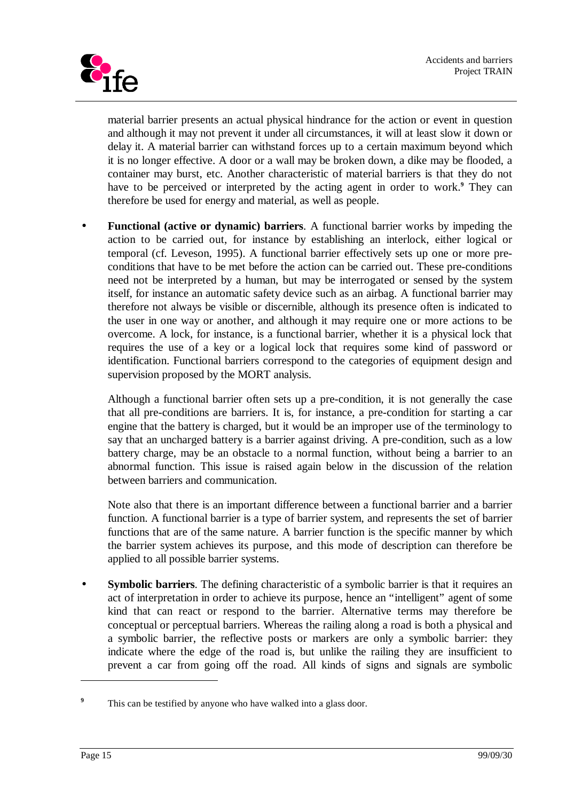

material barrier presents an actual physical hindrance for the action or event in question and although it may not prevent it under all circumstances, it will at least slow it down or delay it. A material barrier can withstand forces up to a certain maximum beyond which it is no longer effective. A door or a wall may be broken down, a dike may be flooded, a container may burst, etc. Another characteristic of material barriers is that they do not have to be perceived or interpreted by the acting agent in order to work.**<sup>9</sup>** They can therefore be used for energy and material, as well as people.

• **Functional (active or dynamic) barriers**. A functional barrier works by impeding the action to be carried out, for instance by establishing an interlock, either logical or temporal (cf. Leveson, 1995). A functional barrier effectively sets up one or more preconditions that have to be met before the action can be carried out. These pre-conditions need not be interpreted by a human, but may be interrogated or sensed by the system itself, for instance an automatic safety device such as an airbag. A functional barrier may therefore not always be visible or discernible, although its presence often is indicated to the user in one way or another, and although it may require one or more actions to be overcome. A lock, for instance, is a functional barrier, whether it is a physical lock that requires the use of a key or a logical lock that requires some kind of password or identification. Functional barriers correspond to the categories of equipment design and supervision proposed by the MORT analysis.

Although a functional barrier often sets up a pre-condition, it is not generally the case that all pre-conditions are barriers. It is, for instance, a pre-condition for starting a car engine that the battery is charged, but it would be an improper use of the terminology to say that an uncharged battery is a barrier against driving. A pre-condition, such as a low battery charge, may be an obstacle to a normal function, without being a barrier to an abnormal function. This issue is raised again below in the discussion of the relation between barriers and communication.

Note also that there is an important difference between a functional barrier and a barrier function. A functional barrier is a type of barrier system, and represents the set of barrier functions that are of the same nature. A barrier function is the specific manner by which the barrier system achieves its purpose, and this mode of description can therefore be applied to all possible barrier systems.

**Symbolic barriers**. The defining characteristic of a symbolic barrier is that it requires an act of interpretation in order to achieve its purpose, hence an "intelligent" agent of some kind that can react or respond to the barrier. Alternative terms may therefore be conceptual or perceptual barriers. Whereas the railing along a road is both a physical and a symbolic barrier, the reflective posts or markers are only a symbolic barrier: they indicate where the edge of the road is, but unlike the railing they are insufficient to prevent a car from going off the road. All kinds of signs and signals are symbolic

**<sup>9</sup>** This can be testified by anyone who have walked into a glass door.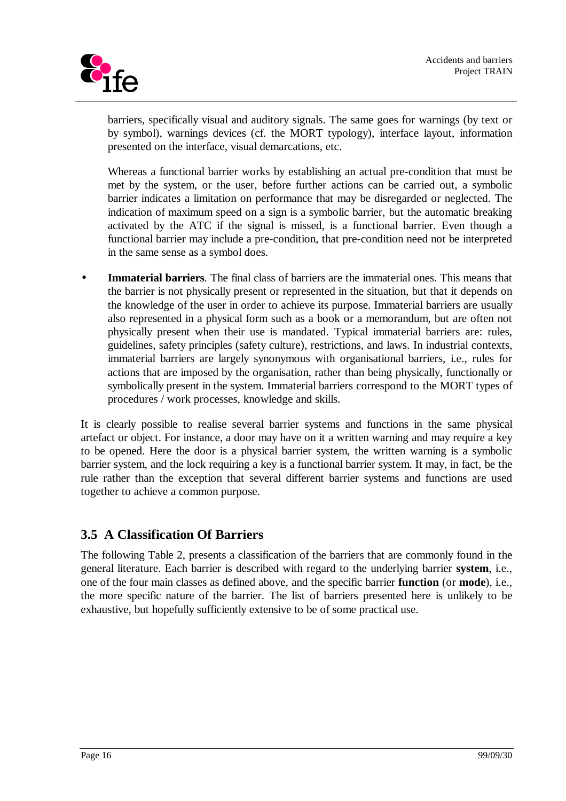

barriers, specifically visual and auditory signals. The same goes for warnings (by text or by symbol), warnings devices (cf. the MORT typology), interface layout, information presented on the interface, visual demarcations, etc.

Whereas a functional barrier works by establishing an actual pre-condition that must be met by the system, or the user, before further actions can be carried out, a symbolic barrier indicates a limitation on performance that may be disregarded or neglected. The indication of maximum speed on a sign is a symbolic barrier, but the automatic breaking activated by the ATC if the signal is missed, is a functional barrier. Even though a functional barrier may include a pre-condition, that pre-condition need not be interpreted in the same sense as a symbol does.

**Immaterial barriers**. The final class of barriers are the immaterial ones. This means that the barrier is not physically present or represented in the situation, but that it depends on the knowledge of the user in order to achieve its purpose. Immaterial barriers are usually also represented in a physical form such as a book or a memorandum, but are often not physically present when their use is mandated. Typical immaterial barriers are: rules, guidelines, safety principles (safety culture), restrictions, and laws. In industrial contexts, immaterial barriers are largely synonymous with organisational barriers, i.e., rules for actions that are imposed by the organisation, rather than being physically, functionally or symbolically present in the system. Immaterial barriers correspond to the MORT types of procedures / work processes, knowledge and skills.

It is clearly possible to realise several barrier systems and functions in the same physical artefact or object. For instance, a door may have on it a written warning and may require a key to be opened. Here the door is a physical barrier system, the written warning is a symbolic barrier system, and the lock requiring a key is a functional barrier system. It may, in fact, be the rule rather than the exception that several different barrier systems and functions are used together to achieve a common purpose.

## **3.5 A Classification Of Barriers**

The following Table 2, presents a classification of the barriers that are commonly found in the general literature. Each barrier is described with regard to the underlying barrier **system**, i.e., one of the four main classes as defined above, and the specific barrier **function** (or **mode**), i.e., the more specific nature of the barrier. The list of barriers presented here is unlikely to be exhaustive, but hopefully sufficiently extensive to be of some practical use.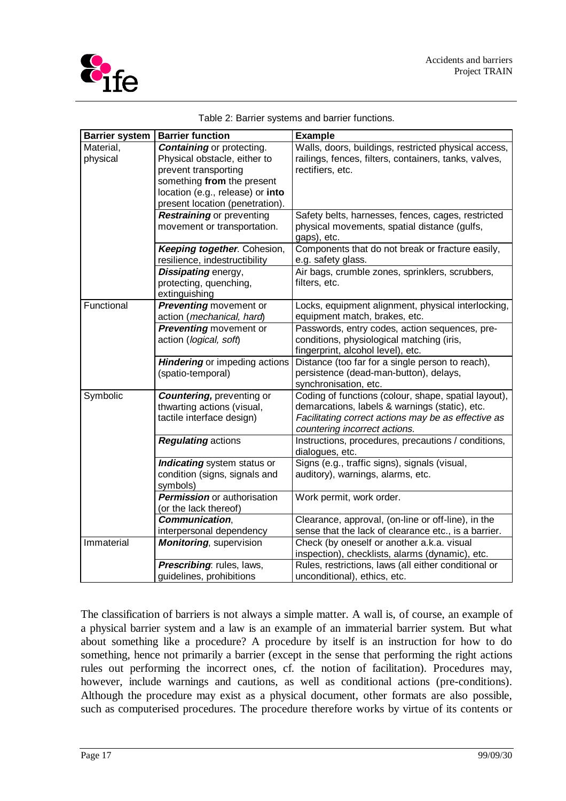| <b>Barrier system</b> | <b>Barrier function</b>                                                                                                                                    | <b>Example</b>                                                                                                                                                                                 |
|-----------------------|------------------------------------------------------------------------------------------------------------------------------------------------------------|------------------------------------------------------------------------------------------------------------------------------------------------------------------------------------------------|
| Material,<br>physical | <b>Containing or protecting.</b><br>Physical obstacle, either to<br>prevent transporting<br>something from the present<br>location (e.g., release) or into | Walls, doors, buildings, restricted physical access,<br>railings, fences, filters, containers, tanks, valves,<br>rectifiers, etc.                                                              |
|                       | present location (penetration).<br><b>Restraining or preventing</b>                                                                                        | Safety belts, harnesses, fences, cages, restricted                                                                                                                                             |
|                       | movement or transportation.                                                                                                                                | physical movements, spatial distance (gulfs,<br>gaps), etc.                                                                                                                                    |
|                       | Keeping together. Cohesion,<br>resilience, indestructibility                                                                                               | Components that do not break or fracture easily,<br>e.g. safety glass.                                                                                                                         |
|                       | Dissipating energy,<br>protecting, quenching,<br>extinguishing                                                                                             | Air bags, crumble zones, sprinklers, scrubbers,<br>filters, etc.                                                                                                                               |
| Functional            | <b>Preventing</b> movement or<br>action (mechanical, hard)                                                                                                 | Locks, equipment alignment, physical interlocking,<br>equipment match, brakes, etc.                                                                                                            |
|                       | <b>Preventing movement or</b><br>action (logical, soft)                                                                                                    | Passwords, entry codes, action sequences, pre-<br>conditions, physiological matching (iris,<br>fingerprint, alcohol level), etc.                                                               |
|                       | <b>Hindering</b> or impeding actions<br>(spatio-temporal)                                                                                                  | Distance (too far for a single person to reach),<br>persistence (dead-man-button), delays,<br>synchronisation, etc.                                                                            |
| Symbolic              | <b>Countering, preventing or</b><br>thwarting actions (visual,<br>tactile interface design)                                                                | Coding of functions (colour, shape, spatial layout),<br>demarcations, labels & warnings (static), etc.<br>Facilitating correct actions may be as effective as<br>countering incorrect actions. |
|                       | <b>Regulating actions</b>                                                                                                                                  | Instructions, procedures, precautions / conditions,<br>dialogues, etc.                                                                                                                         |
|                       | Indicating system status or<br>condition (signs, signals and<br>symbols)                                                                                   | Signs (e.g., traffic signs), signals (visual,<br>auditory), warnings, alarms, etc.                                                                                                             |
|                       | <b>Permission</b> or authorisation<br>(or the lack thereof)                                                                                                | Work permit, work order.                                                                                                                                                                       |
|                       | Communication,                                                                                                                                             | Clearance, approval, (on-line or off-line), in the                                                                                                                                             |
|                       | interpersonal dependency                                                                                                                                   | sense that the lack of clearance etc., is a barrier.                                                                                                                                           |
| Immaterial            | <b>Monitoring, supervision</b>                                                                                                                             | Check (by oneself or another a.k.a. visual<br>inspection), checklists, alarms (dynamic), etc.                                                                                                  |
|                       | Prescribing: rules, laws,<br>guidelines, prohibitions                                                                                                      | Rules, restrictions, laws (all either conditional or<br>unconditional), ethics, etc.                                                                                                           |

Table 2: Barrier systems and barrier functions.

The classification of barriers is not always a simple matter. A wall is, of course, an example of a physical barrier system and a law is an example of an immaterial barrier system. But what about something like a procedure? A procedure by itself is an instruction for how to do something, hence not primarily a barrier (except in the sense that performing the right actions rules out performing the incorrect ones, cf. the notion of facilitation). Procedures may, however, include warnings and cautions, as well as conditional actions (pre-conditions). Although the procedure may exist as a physical document, other formats are also possible, such as computerised procedures. The procedure therefore works by virtue of its contents or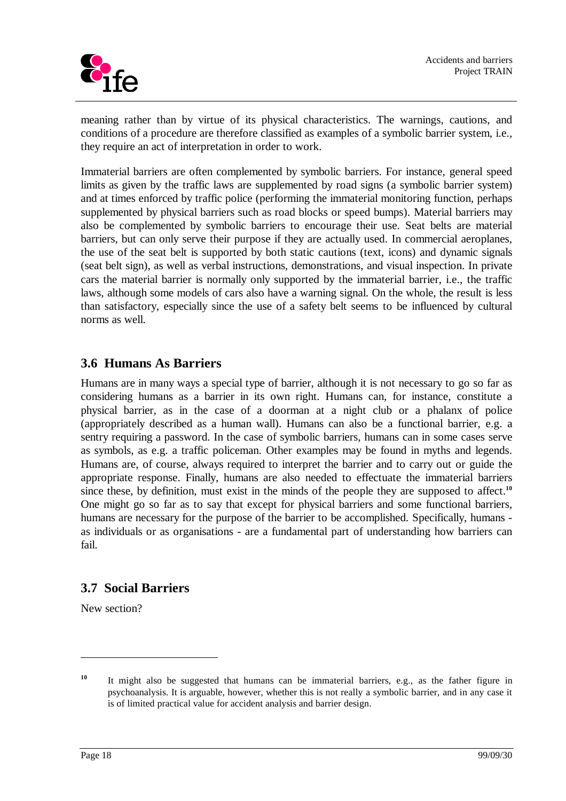

meaning rather than by virtue of its physical characteristics. The warnings, cautions, and conditions of a procedure are therefore classified as examples of a symbolic barrier system, i.e., they require an act of interpretation in order to work.

Immaterial barriers are often complemented by symbolic barriers. For instance, general speed limits as given by the traffic laws are supplemented by road signs (a symbolic barrier system) and at times enforced by traffic police (performing the immaterial monitoring function, perhaps supplemented by physical barriers such as road blocks or speed bumps). Material barriers may also be complemented by symbolic barriers to encourage their use. Seat belts are material barriers, but can only serve their purpose if they are actually used. In commercial aeroplanes, the use of the seat belt is supported by both static cautions (text, icons) and dynamic signals (seat belt sign), as well as verbal instructions, demonstrations, and visual inspection. In private cars the material barrier is normally only supported by the immaterial barrier, i.e., the traffic laws, although some models of cars also have a warning signal. On the whole, the result is less than satisfactory, especially since the use of a safety belt seems to be influenced by cultural norms as well.

## **3.6 Humans As Barriers**

Humans are in many ways a special type of barrier, although it is not necessary to go so far as considering humans as a barrier in its own right. Humans can, for instance, constitute a physical barrier, as in the case of a doorman at a night club or a phalanx of police (appropriately described as a human wall). Humans can also be a functional barrier, e.g. a sentry requiring a password. In the case of symbolic barriers, humans can in some cases serve as symbols, as e.g. a traffic policeman. Other examples may be found in myths and legends. Humans are, of course, always required to interpret the barrier and to carry out or guide the appropriate response. Finally, humans are also needed to effectuate the immaterial barriers since these, by definition, must exist in the minds of the people they are supposed to affect.<sup>10</sup> One might go so far as to say that except for physical barriers and some functional barriers, humans are necessary for the purpose of the barrier to be accomplished. Specifically, humans as individuals or as organisations - are a fundamental part of understanding how barriers can fail.

## **3.7 Social Barriers**

New section?

**<sup>10</sup>** It might also be suggested that humans can be immaterial barriers, e.g., as the father figure in psychoanalysis. It is arguable, however, whether this is not really a symbolic barrier, and in any case it is of limited practical value for accident analysis and barrier design.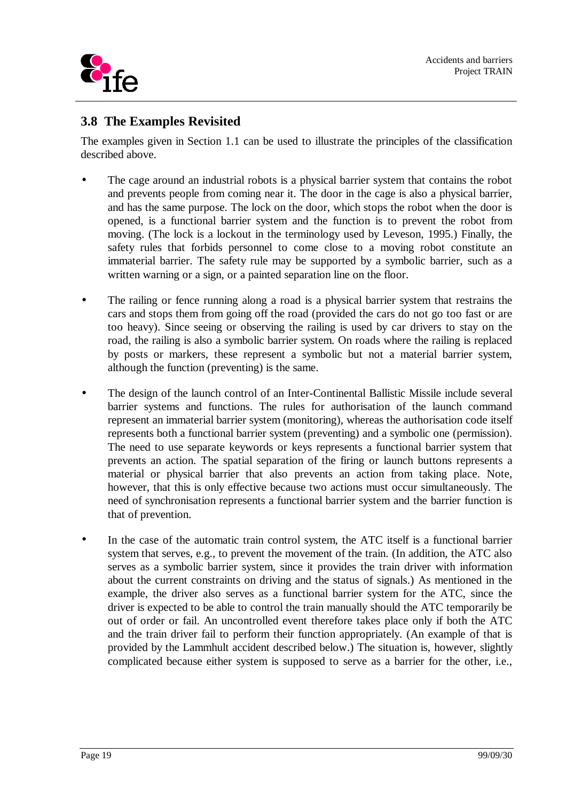

## **3.8 The Examples Revisited**

The examples given in Section 1.1 can be used to illustrate the principles of the classification described above.

- The cage around an industrial robots is a physical barrier system that contains the robot and prevents people from coming near it. The door in the cage is also a physical barrier, and has the same purpose. The lock on the door, which stops the robot when the door is opened, is a functional barrier system and the function is to prevent the robot from moving. (The lock is a lockout in the terminology used by Leveson, 1995.) Finally, the safety rules that forbids personnel to come close to a moving robot constitute an immaterial barrier. The safety rule may be supported by a symbolic barrier, such as a written warning or a sign, or a painted separation line on the floor.
- The railing or fence running along a road is a physical barrier system that restrains the cars and stops them from going off the road (provided the cars do not go too fast or are too heavy). Since seeing or observing the railing is used by car drivers to stay on the road, the railing is also a symbolic barrier system. On roads where the railing is replaced by posts or markers, these represent a symbolic but not a material barrier system, although the function (preventing) is the same.
- The design of the launch control of an Inter-Continental Ballistic Missile include several barrier systems and functions. The rules for authorisation of the launch command represent an immaterial barrier system (monitoring), whereas the authorisation code itself represents both a functional barrier system (preventing) and a symbolic one (permission). The need to use separate keywords or keys represents a functional barrier system that prevents an action. The spatial separation of the firing or launch buttons represents a material or physical barrier that also prevents an action from taking place. Note, however, that this is only effective because two actions must occur simultaneously. The need of synchronisation represents a functional barrier system and the barrier function is that of prevention.
- In the case of the automatic train control system, the ATC itself is a functional barrier system that serves, e.g., to prevent the movement of the train. (In addition, the ATC also serves as a symbolic barrier system, since it provides the train driver with information about the current constraints on driving and the status of signals.) As mentioned in the example, the driver also serves as a functional barrier system for the ATC, since the driver is expected to be able to control the train manually should the ATC temporarily be out of order or fail. An uncontrolled event therefore takes place only if both the ATC and the train driver fail to perform their function appropriately. (An example of that is provided by the Lammhult accident described below.) The situation is, however, slightly complicated because either system is supposed to serve as a barrier for the other, i.e.,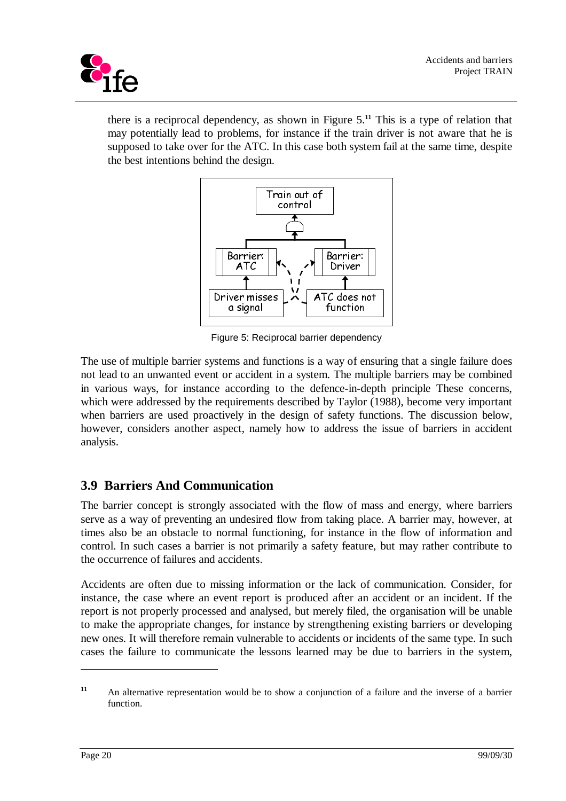cife

there is a reciprocal dependency, as shown in Figure 5.**<sup>11</sup>** This is a type of relation that may potentially lead to problems, for instance if the train driver is not aware that he is supposed to take over for the ATC. In this case both system fail at the same time, despite the best intentions behind the design.



Figure 5: Reciprocal barrier dependency

The use of multiple barrier systems and functions is a way of ensuring that a single failure does not lead to an unwanted event or accident in a system. The multiple barriers may be combined in various ways, for instance according to the defence-in-depth principle These concerns, which were addressed by the requirements described by Taylor (1988), become very important when barriers are used proactively in the design of safety functions. The discussion below, however, considers another aspect, namely how to address the issue of barriers in accident analysis.

# **3.9 Barriers And Communication**

The barrier concept is strongly associated with the flow of mass and energy, where barriers serve as a way of preventing an undesired flow from taking place. A barrier may, however, at times also be an obstacle to normal functioning, for instance in the flow of information and control. In such cases a barrier is not primarily a safety feature, but may rather contribute to the occurrence of failures and accidents.

Accidents are often due to missing information or the lack of communication. Consider, for instance, the case where an event report is produced after an accident or an incident. If the report is not properly processed and analysed, but merely filed, the organisation will be unable to make the appropriate changes, for instance by strengthening existing barriers or developing new ones. It will therefore remain vulnerable to accidents or incidents of the same type. In such cases the failure to communicate the lessons learned may be due to barriers in the system,

**<sup>11</sup>** An alternative representation would be to show a conjunction of a failure and the inverse of a barrier function.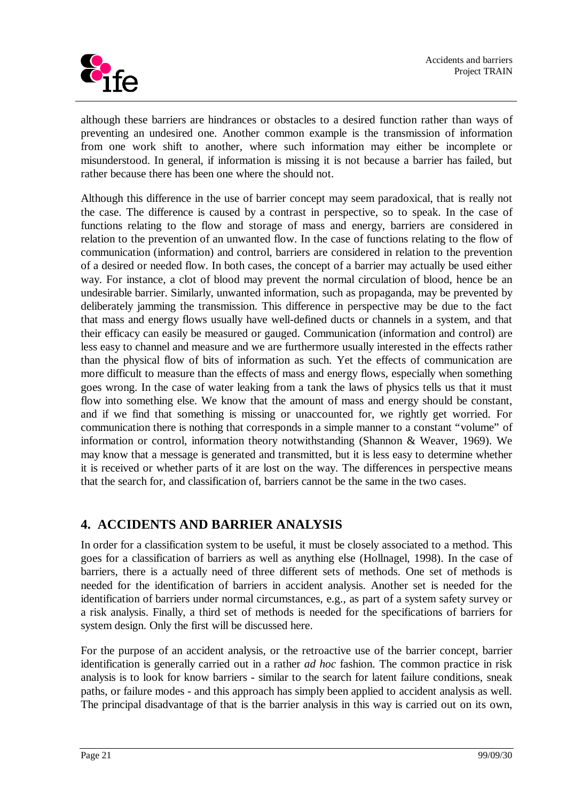

although these barriers are hindrances or obstacles to a desired function rather than ways of preventing an undesired one. Another common example is the transmission of information from one work shift to another, where such information may either be incomplete or misunderstood. In general, if information is missing it is not because a barrier has failed, but rather because there has been one where the should not.

Although this difference in the use of barrier concept may seem paradoxical, that is really not the case. The difference is caused by a contrast in perspective, so to speak. In the case of functions relating to the flow and storage of mass and energy, barriers are considered in relation to the prevention of an unwanted flow. In the case of functions relating to the flow of communication (information) and control, barriers are considered in relation to the prevention of a desired or needed flow. In both cases, the concept of a barrier may actually be used either way. For instance, a clot of blood may prevent the normal circulation of blood, hence be an undesirable barrier. Similarly, unwanted information, such as propaganda, may be prevented by deliberately jamming the transmission. This difference in perspective may be due to the fact that mass and energy flows usually have well-defined ducts or channels in a system, and that their efficacy can easily be measured or gauged. Communication (information and control) are less easy to channel and measure and we are furthermore usually interested in the effects rather than the physical flow of bits of information as such. Yet the effects of communication are more difficult to measure than the effects of mass and energy flows, especially when something goes wrong. In the case of water leaking from a tank the laws of physics tells us that it must flow into something else. We know that the amount of mass and energy should be constant, and if we find that something is missing or unaccounted for, we rightly get worried. For communication there is nothing that corresponds in a simple manner to a constant "volume" of information or control, information theory notwithstanding (Shannon & Weaver, 1969). We may know that a message is generated and transmitted, but it is less easy to determine whether it is received or whether parts of it are lost on the way. The differences in perspective means that the search for, and classification of, barriers cannot be the same in the two cases.

## **4. ACCIDENTS AND BARRIER ANALYSIS**

In order for a classification system to be useful, it must be closely associated to a method. This goes for a classification of barriers as well as anything else (Hollnagel, 1998). In the case of barriers, there is a actually need of three different sets of methods. One set of methods is needed for the identification of barriers in accident analysis. Another set is needed for the identification of barriers under normal circumstances, e.g., as part of a system safety survey or a risk analysis. Finally, a third set of methods is needed for the specifications of barriers for system design. Only the first will be discussed here.

For the purpose of an accident analysis, or the retroactive use of the barrier concept, barrier identification is generally carried out in a rather *ad hoc* fashion. The common practice in risk analysis is to look for know barriers - similar to the search for latent failure conditions, sneak paths, or failure modes - and this approach has simply been applied to accident analysis as well. The principal disadvantage of that is the barrier analysis in this way is carried out on its own,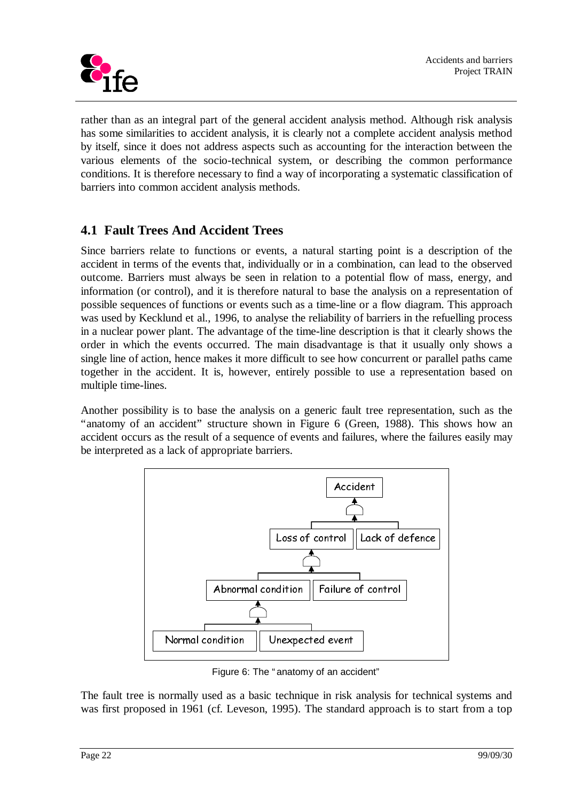

rather than as an integral part of the general accident analysis method. Although risk analysis has some similarities to accident analysis, it is clearly not a complete accident analysis method by itself, since it does not address aspects such as accounting for the interaction between the various elements of the socio-technical system, or describing the common performance conditions. It is therefore necessary to find a way of incorporating a systematic classification of barriers into common accident analysis methods.

# **4.1 Fault Trees And Accident Trees**

Since barriers relate to functions or events, a natural starting point is a description of the accident in terms of the events that, individually or in a combination, can lead to the observed outcome. Barriers must always be seen in relation to a potential flow of mass, energy, and information (or control), and it is therefore natural to base the analysis on a representation of possible sequences of functions or events such as a time-line or a flow diagram. This approach was used by Kecklund et al., 1996, to analyse the reliability of barriers in the refuelling process in a nuclear power plant. The advantage of the time-line description is that it clearly shows the order in which the events occurred. The main disadvantage is that it usually only shows a single line of action, hence makes it more difficult to see how concurrent or parallel paths came together in the accident. It is, however, entirely possible to use a representation based on multiple time-lines.

Another possibility is to base the analysis on a generic fault tree representation, such as the "anatomy of an accident" structure shown in Figure 6 (Green, 1988). This shows how an accident occurs as the result of a sequence of events and failures, where the failures easily may be interpreted as a lack of appropriate barriers.



Figure 6: The " anatomy of an accident"

The fault tree is normally used as a basic technique in risk analysis for technical systems and was first proposed in 1961 (cf. Leveson, 1995). The standard approach is to start from a top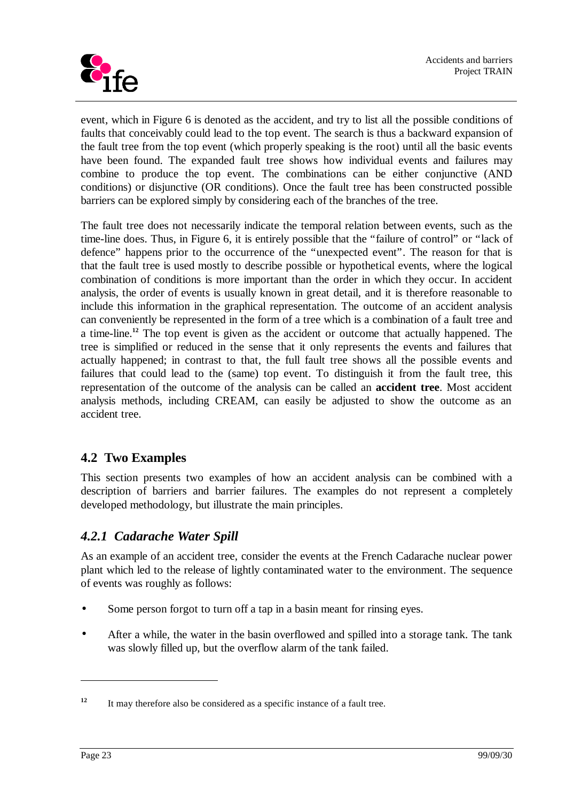

event, which in Figure 6 is denoted as the accident, and try to list all the possible conditions of faults that conceivably could lead to the top event. The search is thus a backward expansion of the fault tree from the top event (which properly speaking is the root) until all the basic events have been found. The expanded fault tree shows how individual events and failures may combine to produce the top event. The combinations can be either conjunctive (AND conditions) or disjunctive (OR conditions). Once the fault tree has been constructed possible barriers can be explored simply by considering each of the branches of the tree.

The fault tree does not necessarily indicate the temporal relation between events, such as the time-line does. Thus, in Figure 6, it is entirely possible that the "failure of control" or "lack of defence" happens prior to the occurrence of the "unexpected event". The reason for that is that the fault tree is used mostly to describe possible or hypothetical events, where the logical combination of conditions is more important than the order in which they occur. In accident analysis, the order of events is usually known in great detail, and it is therefore reasonable to include this information in the graphical representation. The outcome of an accident analysis can conveniently be represented in the form of a tree which is a combination of a fault tree and a time-line.**<sup>12</sup>** The top event is given as the accident or outcome that actually happened. The tree is simplified or reduced in the sense that it only represents the events and failures that actually happened; in contrast to that, the full fault tree shows all the possible events and failures that could lead to the (same) top event. To distinguish it from the fault tree, this representation of the outcome of the analysis can be called an **accident tree**. Most accident analysis methods, including CREAM, can easily be adjusted to show the outcome as an accident tree.

# **4.2 Two Examples**

This section presents two examples of how an accident analysis can be combined with a description of barriers and barrier failures. The examples do not represent a completely developed methodology, but illustrate the main principles.

## *4.2.1 Cadarache Water Spill*

As an example of an accident tree, consider the events at the French Cadarache nuclear power plant which led to the release of lightly contaminated water to the environment. The sequence of events was roughly as follows:

- Some person forgot to turn off a tap in a basin meant for rinsing eyes.
- After a while, the water in the basin overflowed and spilled into a storage tank. The tank was slowly filled up, but the overflow alarm of the tank failed.

<sup>&</sup>lt;sup>12</sup> It may therefore also be considered as a specific instance of a fault tree.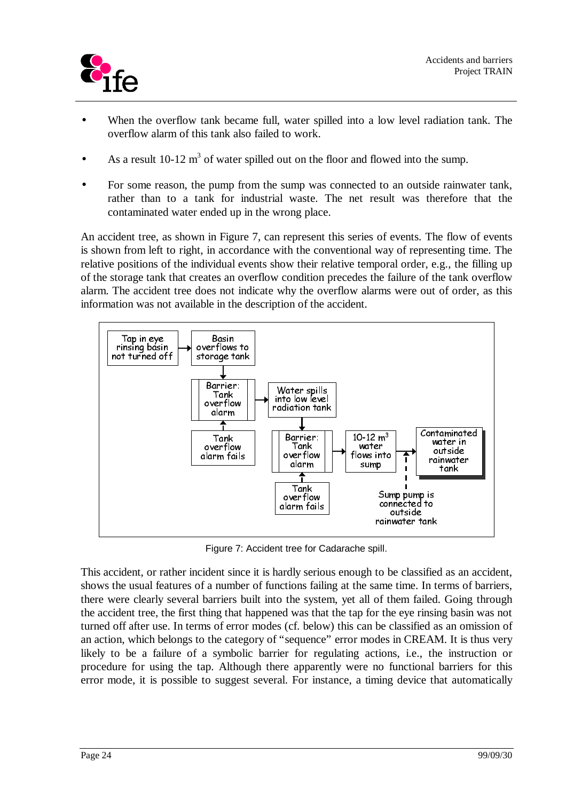

- When the overflow tank became full, water spilled into a low level radiation tank. The overflow alarm of this tank also failed to work.
- As a result 10-12  $m<sup>3</sup>$  of water spilled out on the floor and flowed into the sump.
- For some reason, the pump from the sump was connected to an outside rainwater tank, rather than to a tank for industrial waste. The net result was therefore that the contaminated water ended up in the wrong place.

An accident tree, as shown in Figure 7, can represent this series of events. The flow of events is shown from left to right, in accordance with the conventional way of representing time. The relative positions of the individual events show their relative temporal order, e.g., the filling up of the storage tank that creates an overflow condition precedes the failure of the tank overflow alarm. The accident tree does not indicate why the overflow alarms were out of order, as this information was not available in the description of the accident.



Figure 7: Accident tree for Cadarache spill.

This accident, or rather incident since it is hardly serious enough to be classified as an accident, shows the usual features of a number of functions failing at the same time. In terms of barriers, there were clearly several barriers built into the system, yet all of them failed. Going through the accident tree, the first thing that happened was that the tap for the eye rinsing basin was not turned off after use. In terms of error modes (cf. below) this can be classified as an omission of an action, which belongs to the category of "sequence" error modes in CREAM. It is thus very likely to be a failure of a symbolic barrier for regulating actions, i.e., the instruction or procedure for using the tap. Although there apparently were no functional barriers for this error mode, it is possible to suggest several. For instance, a timing device that automatically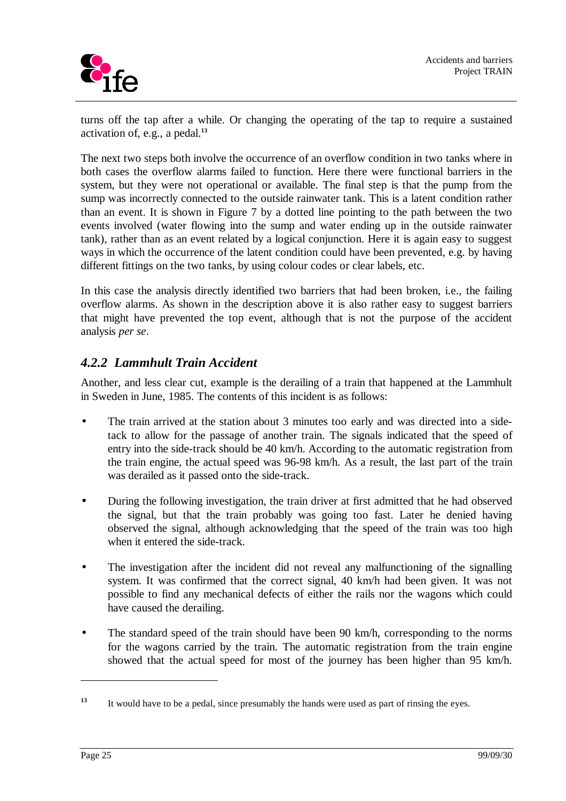turns off the tap after a while. Or changing the operating of the tap to require a sustained activation of, e.g., a pedal.**<sup>13</sup>**

The next two steps both involve the occurrence of an overflow condition in two tanks where in both cases the overflow alarms failed to function. Here there were functional barriers in the system, but they were not operational or available. The final step is that the pump from the sump was incorrectly connected to the outside rainwater tank. This is a latent condition rather than an event. It is shown in Figure 7 by a dotted line pointing to the path between the two events involved (water flowing into the sump and water ending up in the outside rainwater tank), rather than as an event related by a logical conjunction. Here it is again easy to suggest ways in which the occurrence of the latent condition could have been prevented, e.g. by having different fittings on the two tanks, by using colour codes or clear labels, etc.

In this case the analysis directly identified two barriers that had been broken, i.e., the failing overflow alarms. As shown in the description above it is also rather easy to suggest barriers that might have prevented the top event, although that is not the purpose of the accident analysis *per se*.

# *4.2.2 Lammhult Train Accident*

Another, and less clear cut, example is the derailing of a train that happened at the Lammhult in Sweden in June, 1985. The contents of this incident is as follows:

- The train arrived at the station about 3 minutes too early and was directed into a sidetack to allow for the passage of another train. The signals indicated that the speed of entry into the side-track should be 40 km/h. According to the automatic registration from the train engine, the actual speed was 96-98 km/h. As a result, the last part of the train was derailed as it passed onto the side-track.
- During the following investigation, the train driver at first admitted that he had observed the signal, but that the train probably was going too fast. Later he denied having observed the signal, although acknowledging that the speed of the train was too high when it entered the side-track.
- The investigation after the incident did not reveal any malfunctioning of the signalling system. It was confirmed that the correct signal, 40 km/h had been given. It was not possible to find any mechanical defects of either the rails nor the wagons which could have caused the derailing.
- The standard speed of the train should have been 90 km/h, corresponding to the norms for the wagons carried by the train. The automatic registration from the train engine showed that the actual speed for most of the journey has been higher than 95 km/h.

**<sup>13</sup>** It would have to be a pedal, since presumably the hands were used as part of rinsing the eyes.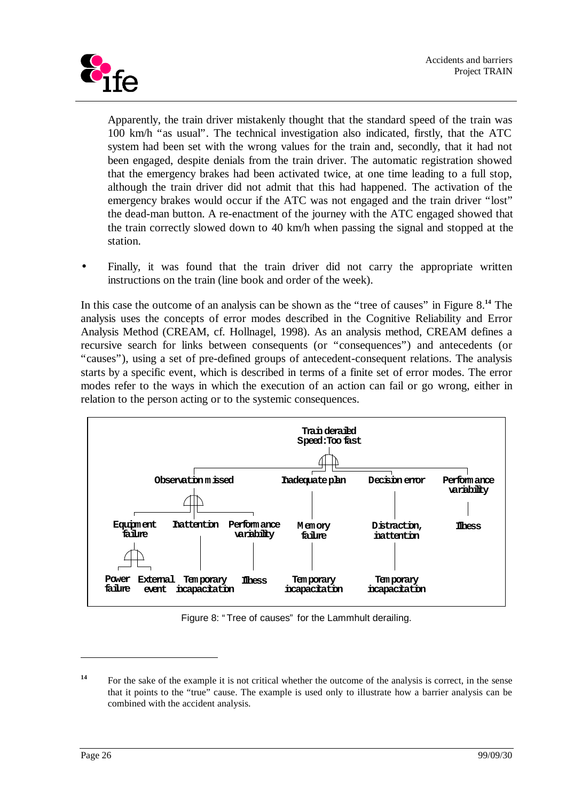

Apparently, the train driver mistakenly thought that the standard speed of the train was 100 km/h "as usual". The technical investigation also indicated, firstly, that the ATC system had been set with the wrong values for the train and, secondly, that it had not been engaged, despite denials from the train driver. The automatic registration showed that the emergency brakes had been activated twice, at one time leading to a full stop, although the train driver did not admit that this had happened. The activation of the emergency brakes would occur if the ATC was not engaged and the train driver "lost" the dead-man button. A re-enactment of the journey with the ATC engaged showed that the train correctly slowed down to 40 km/h when passing the signal and stopped at the station.

Finally, it was found that the train driver did not carry the appropriate written instructions on the train (line book and order of the week).

In this case the outcome of an analysis can be shown as the "tree of causes" in Figure 8.**<sup>14</sup>** The analysis uses the concepts of error modes described in the Cognitive Reliability and Error Analysis Method (CREAM, cf. Hollnagel, 1998). As an analysis method, CREAM defines a recursive search for links between consequents (or "consequences") and antecedents (or "causes"), using a set of pre-defined groups of antecedent-consequent relations. The analysis starts by a specific event, which is described in terms of a finite set of error modes. The error modes refer to the ways in which the execution of an action can fail or go wrong, either in relation to the person acting or to the systemic consequences.



Figure 8: " Tree of causes" for the Lammhult derailing.

<sup>&</sup>lt;sup>14</sup> For the sake of the example it is not critical whether the outcome of the analysis is correct, in the sense that it points to the "true" cause. The example is used only to illustrate how a barrier analysis can be combined with the accident analysis.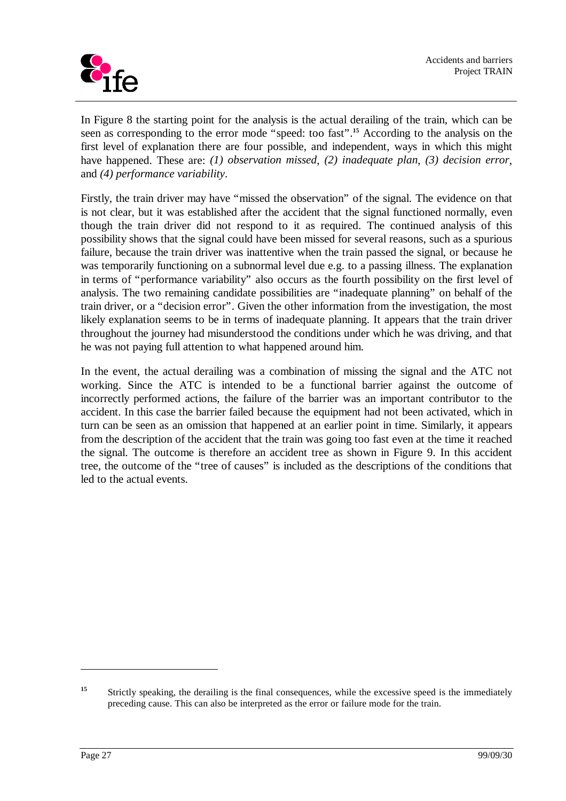

In Figure 8 the starting point for the analysis is the actual derailing of the train, which can be seen as corresponding to the error mode "speed: too fast".**<sup>15</sup>** According to the analysis on the first level of explanation there are four possible, and independent, ways in which this might have happened. These are: *(1) observation missed*, *(2) inadequate plan*, *(3) decision error*, and *(4) performance variability*.

Firstly, the train driver may have "missed the observation" of the signal. The evidence on that is not clear, but it was established after the accident that the signal functioned normally, even though the train driver did not respond to it as required. The continued analysis of this possibility shows that the signal could have been missed for several reasons, such as a spurious failure, because the train driver was inattentive when the train passed the signal, or because he was temporarily functioning on a subnormal level due e.g. to a passing illness. The explanation in terms of "performance variability" also occurs as the fourth possibility on the first level of analysis. The two remaining candidate possibilities are "inadequate planning" on behalf of the train driver, or a "decision error". Given the other information from the investigation, the most likely explanation seems to be in terms of inadequate planning. It appears that the train driver throughout the journey had misunderstood the conditions under which he was driving, and that he was not paying full attention to what happened around him.

In the event, the actual derailing was a combination of missing the signal and the ATC not working. Since the ATC is intended to be a functional barrier against the outcome of incorrectly performed actions, the failure of the barrier was an important contributor to the accident. In this case the barrier failed because the equipment had not been activated, which in turn can be seen as an omission that happened at an earlier point in time. Similarly, it appears from the description of the accident that the train was going too fast even at the time it reached the signal. The outcome is therefore an accident tree as shown in Figure 9. In this accident tree, the outcome of the "tree of causes" is included as the descriptions of the conditions that led to the actual events.

<sup>&</sup>lt;sup>15</sup> Strictly speaking, the derailing is the final consequences, while the excessive speed is the immediately preceding cause. This can also be interpreted as the error or failure mode for the train.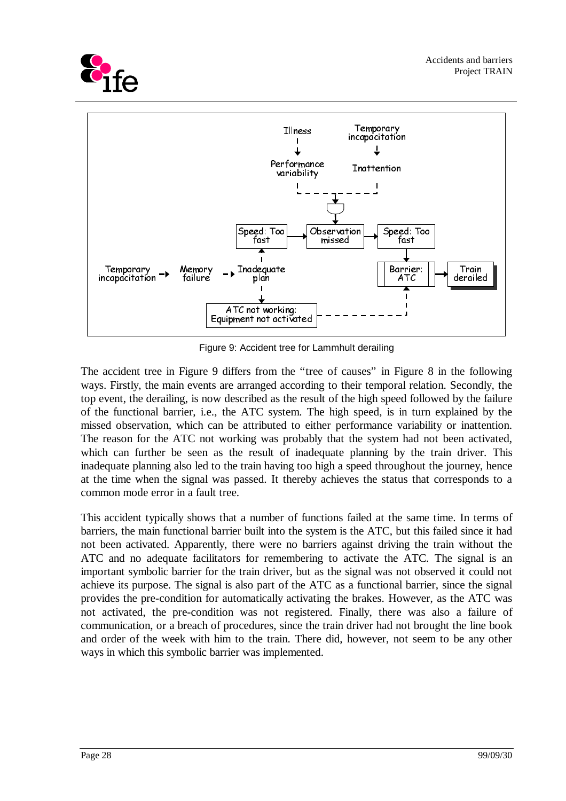



Figure 9: Accident tree for Lammhult derailing

The accident tree in Figure 9 differs from the "tree of causes" in Figure 8 in the following ways. Firstly, the main events are arranged according to their temporal relation. Secondly, the top event, the derailing, is now described as the result of the high speed followed by the failure of the functional barrier, i.e., the ATC system. The high speed, is in turn explained by the missed observation, which can be attributed to either performance variability or inattention. The reason for the ATC not working was probably that the system had not been activated, which can further be seen as the result of inadequate planning by the train driver. This inadequate planning also led to the train having too high a speed throughout the journey, hence at the time when the signal was passed. It thereby achieves the status that corresponds to a common mode error in a fault tree.

This accident typically shows that a number of functions failed at the same time. In terms of barriers, the main functional barrier built into the system is the ATC, but this failed since it had not been activated. Apparently, there were no barriers against driving the train without the ATC and no adequate facilitators for remembering to activate the ATC. The signal is an important symbolic barrier for the train driver, but as the signal was not observed it could not achieve its purpose. The signal is also part of the ATC as a functional barrier, since the signal provides the pre-condition for automatically activating the brakes. However, as the ATC was not activated, the pre-condition was not registered. Finally, there was also a failure of communication, or a breach of procedures, since the train driver had not brought the line book and order of the week with him to the train. There did, however, not seem to be any other ways in which this symbolic barrier was implemented.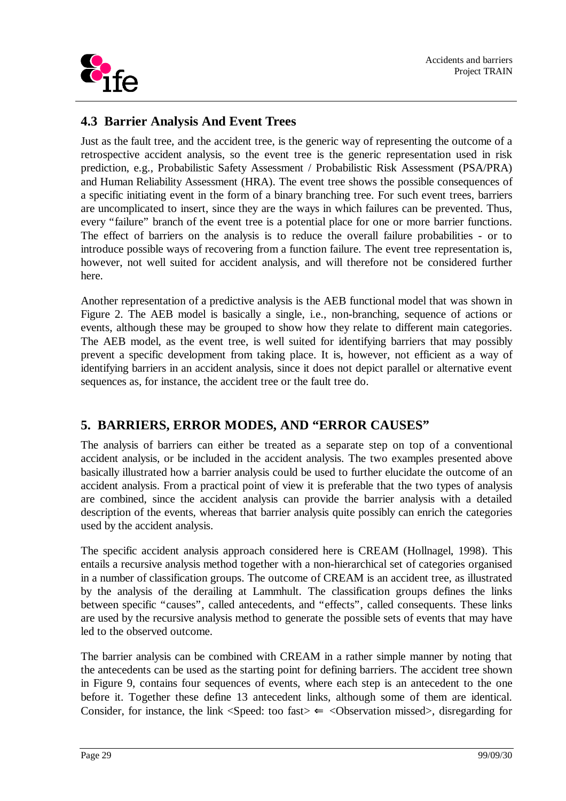

## **4.3 Barrier Analysis And Event Trees**

Just as the fault tree, and the accident tree, is the generic way of representing the outcome of a retrospective accident analysis, so the event tree is the generic representation used in risk prediction, e.g., Probabilistic Safety Assessment / Probabilistic Risk Assessment (PSA/PRA) and Human Reliability Assessment (HRA). The event tree shows the possible consequences of a specific initiating event in the form of a binary branching tree. For such event trees, barriers are uncomplicated to insert, since they are the ways in which failures can be prevented. Thus, every "failure" branch of the event tree is a potential place for one or more barrier functions. The effect of barriers on the analysis is to reduce the overall failure probabilities - or to introduce possible ways of recovering from a function failure. The event tree representation is, however, not well suited for accident analysis, and will therefore not be considered further here.

Another representation of a predictive analysis is the AEB functional model that was shown in Figure 2. The AEB model is basically a single, i.e., non-branching, sequence of actions or events, although these may be grouped to show how they relate to different main categories. The AEB model, as the event tree, is well suited for identifying barriers that may possibly prevent a specific development from taking place. It is, however, not efficient as a way of identifying barriers in an accident analysis, since it does not depict parallel or alternative event sequences as, for instance, the accident tree or the fault tree do.

# **5. BARRIERS, ERROR MODES, AND "ERROR CAUSES"**

The analysis of barriers can either be treated as a separate step on top of a conventional accident analysis, or be included in the accident analysis. The two examples presented above basically illustrated how a barrier analysis could be used to further elucidate the outcome of an accident analysis. From a practical point of view it is preferable that the two types of analysis are combined, since the accident analysis can provide the barrier analysis with a detailed description of the events, whereas that barrier analysis quite possibly can enrich the categories used by the accident analysis.

The specific accident analysis approach considered here is CREAM (Hollnagel, 1998). This entails a recursive analysis method together with a non-hierarchical set of categories organised in a number of classification groups. The outcome of CREAM is an accident tree, as illustrated by the analysis of the derailing at Lammhult. The classification groups defines the links between specific "causes", called antecedents, and "effects", called consequents. These links are used by the recursive analysis method to generate the possible sets of events that may have led to the observed outcome.

The barrier analysis can be combined with CREAM in a rather simple manner by noting that the antecedents can be used as the starting point for defining barriers. The accident tree shown in Figure 9, contains four sequences of events, where each step is an antecedent to the one before it. Together these define 13 antecedent links, although some of them are identical. Consider, for instance, the link  $\leq$  Speed: too fast $\geq$   $\leq$  Observation missed $\geq$ , disregarding for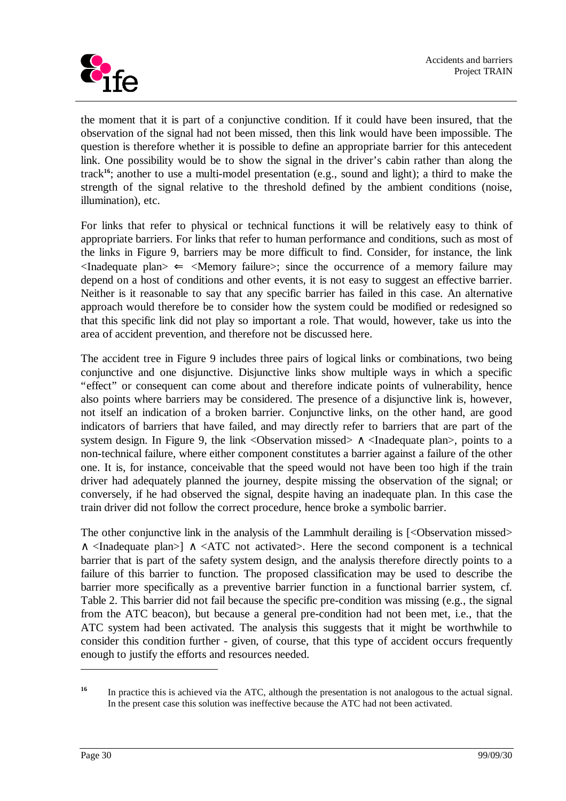

the moment that it is part of a conjunctive condition. If it could have been insured, that the observation of the signal had not been missed, then this link would have been impossible. The question is therefore whether it is possible to define an appropriate barrier for this antecedent link. One possibility would be to show the signal in the driver's cabin rather than along the track**<sup>16</sup>**; another to use a multi-model presentation (e.g., sound and light); a third to make the strength of the signal relative to the threshold defined by the ambient conditions (noise, illumination), etc.

For links that refer to physical or technical functions it will be relatively easy to think of appropriate barriers. For links that refer to human performance and conditions, such as most of the links in Figure 9, barriers may be more difficult to find. Consider, for instance, the link  $\langle$ Inadequate plan $\rangle \leftarrow \langle$ Memory failure $\rangle$ ; since the occurrence of a memory failure may depend on a host of conditions and other events, it is not easy to suggest an effective barrier. Neither is it reasonable to say that any specific barrier has failed in this case. An alternative approach would therefore be to consider how the system could be modified or redesigned so that this specific link did not play so important a role. That would, however, take us into the area of accident prevention, and therefore not be discussed here.

The accident tree in Figure 9 includes three pairs of logical links or combinations, two being conjunctive and one disjunctive. Disjunctive links show multiple ways in which a specific "effect" or consequent can come about and therefore indicate points of vulnerability, hence also points where barriers may be considered. The presence of a disjunctive link is, however, not itself an indication of a broken barrier. Conjunctive links, on the other hand, are good indicators of barriers that have failed, and may directly refer to barriers that are part of the system design. In Figure 9, the link <Observation missed>  $\land$  <Inadequate plan>, points to a non-technical failure, where either component constitutes a barrier against a failure of the other one. It is, for instance, conceivable that the speed would not have been too high if the train driver had adequately planned the journey, despite missing the observation of the signal; or conversely, if he had observed the signal, despite having an inadequate plan. In this case the train driver did not follow the correct procedure, hence broke a symbolic barrier.

The other conjunctive link in the analysis of the Lammhult derailing is [<Observation missed> ∧ <Inadequate plan>] ∧ <ATC not activated>. Here the second component is a technical barrier that is part of the safety system design, and the analysis therefore directly points to a failure of this barrier to function. The proposed classification may be used to describe the barrier more specifically as a preventive barrier function in a functional barrier system, cf. Table 2. This barrier did not fail because the specific pre-condition was missing (e.g., the signal from the ATC beacon), but because a general pre-condition had not been met, i.e., that the ATC system had been activated. The analysis this suggests that it might be worthwhile to consider this condition further - given, of course, that this type of accident occurs frequently enough to justify the efforts and resources needed.

<sup>&</sup>lt;sup>16</sup> In practice this is achieved via the ATC, although the presentation is not analogous to the actual signal. In the present case this solution was ineffective because the ATC had not been activated.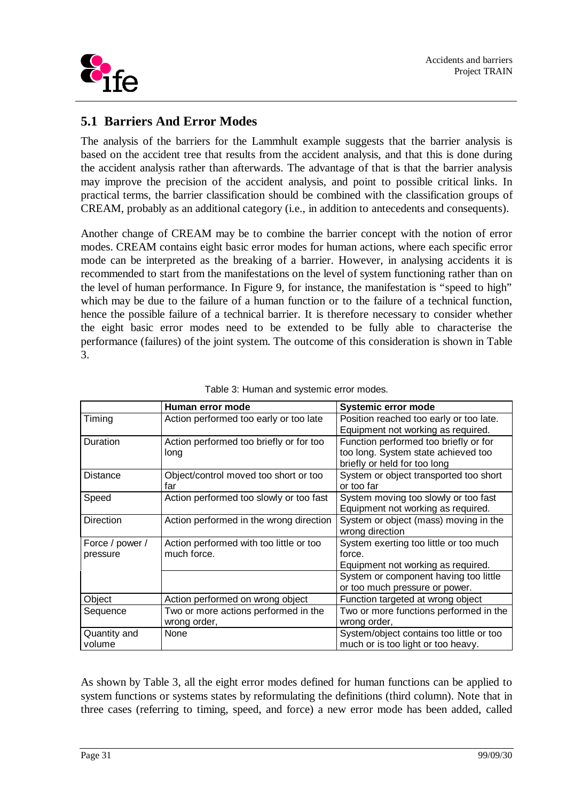

## **5.1 Barriers And Error Modes**

The analysis of the barriers for the Lammhult example suggests that the barrier analysis is based on the accident tree that results from the accident analysis, and that this is done during the accident analysis rather than afterwards. The advantage of that is that the barrier analysis may improve the precision of the accident analysis, and point to possible critical links. In practical terms, the barrier classification should be combined with the classification groups of CREAM, probably as an additional category (i.e., in addition to antecedents and consequents).

Another change of CREAM may be to combine the barrier concept with the notion of error modes. CREAM contains eight basic error modes for human actions, where each specific error mode can be interpreted as the breaking of a barrier. However, in analysing accidents it is recommended to start from the manifestations on the level of system functioning rather than on the level of human performance. In Figure 9, for instance, the manifestation is "speed to high" which may be due to the failure of a human function or to the failure of a technical function, hence the possible failure of a technical barrier. It is therefore necessary to consider whether the eight basic error modes need to be extended to be fully able to characterise the performance (failures) of the joint system. The outcome of this consideration is shown in Table 3.

|                 | Human error mode                        | <b>Systemic error mode</b>               |
|-----------------|-----------------------------------------|------------------------------------------|
| Timing          | Action performed too early or too late  | Position reached too early or too late.  |
|                 |                                         | Equipment not working as required.       |
| Duration        | Action performed too briefly or for too | Function performed too briefly or for    |
|                 | long                                    | too long. System state achieved too      |
|                 |                                         | briefly or held for too long             |
| Distance        | Object/control moved too short or too   | System or object transported too short   |
|                 | far                                     | or too far                               |
| Speed           | Action performed too slowly or too fast | System moving too slowly or too fast     |
|                 |                                         | Equipment not working as required.       |
| Direction       | Action performed in the wrong direction | System or object (mass) moving in the    |
|                 |                                         | wrong direction                          |
| Force / power / | Action performed with too little or too | System exerting too little or too much   |
| pressure        | much force.                             | force.                                   |
|                 |                                         | Equipment not working as required.       |
|                 |                                         | System or component having too little    |
|                 |                                         | or too much pressure or power.           |
| Object          | Action performed on wrong object        | Function targeted at wrong object        |
| Sequence        | Two or more actions performed in the    | Two or more functions performed in the   |
|                 | wrong order,                            | wrong order,                             |
| Quantity and    | None                                    | System/object contains too little or too |
| volume          |                                         | much or is too light or too heavy.       |

| Table 3: Human and systemic error modes. |
|------------------------------------------|
|------------------------------------------|

As shown by Table 3, all the eight error modes defined for human functions can be applied to system functions or systems states by reformulating the definitions (third column). Note that in three cases (referring to timing, speed, and force) a new error mode has been added, called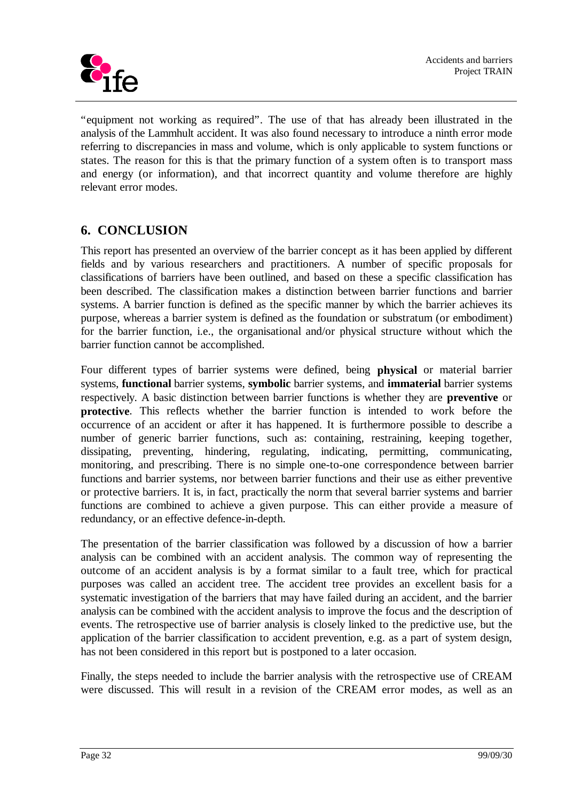

"equipment not working as required". The use of that has already been illustrated in the analysis of the Lammhult accident. It was also found necessary to introduce a ninth error mode referring to discrepancies in mass and volume, which is only applicable to system functions or states. The reason for this is that the primary function of a system often is to transport mass and energy (or information), and that incorrect quantity and volume therefore are highly relevant error modes.

# **6. CONCLUSION**

This report has presented an overview of the barrier concept as it has been applied by different fields and by various researchers and practitioners. A number of specific proposals for classifications of barriers have been outlined, and based on these a specific classification has been described. The classification makes a distinction between barrier functions and barrier systems. A barrier function is defined as the specific manner by which the barrier achieves its purpose, whereas a barrier system is defined as the foundation or substratum (or embodiment) for the barrier function, i.e., the organisational and/or physical structure without which the barrier function cannot be accomplished.

Four different types of barrier systems were defined, being **physical** or material barrier systems, **functional** barrier systems, **symbolic** barrier systems, and **immaterial** barrier systems respectively. A basic distinction between barrier functions is whether they are **preventive** or **protective**. This reflects whether the barrier function is intended to work before the occurrence of an accident or after it has happened. It is furthermore possible to describe a number of generic barrier functions, such as: containing, restraining, keeping together, dissipating, preventing, hindering, regulating, indicating, permitting, communicating, monitoring, and prescribing. There is no simple one-to-one correspondence between barrier functions and barrier systems, nor between barrier functions and their use as either preventive or protective barriers. It is, in fact, practically the norm that several barrier systems and barrier functions are combined to achieve a given purpose. This can either provide a measure of redundancy, or an effective defence-in-depth.

The presentation of the barrier classification was followed by a discussion of how a barrier analysis can be combined with an accident analysis. The common way of representing the outcome of an accident analysis is by a format similar to a fault tree, which for practical purposes was called an accident tree. The accident tree provides an excellent basis for a systematic investigation of the barriers that may have failed during an accident, and the barrier analysis can be combined with the accident analysis to improve the focus and the description of events. The retrospective use of barrier analysis is closely linked to the predictive use, but the application of the barrier classification to accident prevention, e.g. as a part of system design, has not been considered in this report but is postponed to a later occasion.

Finally, the steps needed to include the barrier analysis with the retrospective use of CREAM were discussed. This will result in a revision of the CREAM error modes, as well as an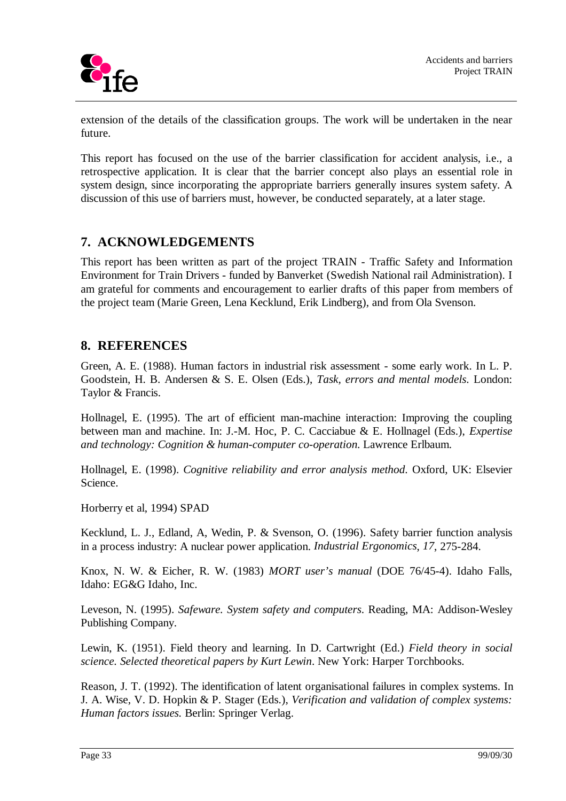

extension of the details of the classification groups. The work will be undertaken in the near future.

This report has focused on the use of the barrier classification for accident analysis, i.e., a retrospective application. It is clear that the barrier concept also plays an essential role in system design, since incorporating the appropriate barriers generally insures system safety. A discussion of this use of barriers must, however, be conducted separately, at a later stage.

## **7. ACKNOWLEDGEMENTS**

This report has been written as part of the project TRAIN - Traffic Safety and Information Environment for Train Drivers - funded by Banverket (Swedish National rail Administration). I am grateful for comments and encouragement to earlier drafts of this paper from members of the project team (Marie Green, Lena Kecklund, Erik Lindberg), and from Ola Svenson.

#### **8. REFERENCES**

Green, A. E. (1988). Human factors in industrial risk assessment - some early work. In L. P. Goodstein, H. B. Andersen & S. E. Olsen (Eds.), *Task, errors and mental models*. London: Taylor & Francis.

Hollnagel, E. (1995). The art of efficient man-machine interaction: Improving the coupling between man and machine. In: J.-M. Hoc, P. C. Cacciabue & E. Hollnagel (Eds.), *Expertise and technology: Cognition & human-computer co-operation*. Lawrence Erlbaum.

Hollnagel, E. (1998). *Cognitive reliability and error analysis method*. Oxford, UK: Elsevier Science.

Horberry et al, 1994) SPAD

Kecklund, L. J., Edland, A, Wedin, P. & Svenson, O. (1996). Safety barrier function analysis in a process industry: A nuclear power application. *Industrial Ergonomics*, *17*, 275-284.

Knox, N. W. & Eicher, R. W. (1983) *MORT user's manual* (DOE 76/45-4). Idaho Falls, Idaho: EG&G Idaho, Inc.

Leveson, N. (1995). *Safeware. System safety and computers*. Reading, MA: Addison-Wesley Publishing Company.

Lewin, K. (1951). Field theory and learning. In D. Cartwright (Ed.) *Field theory in social science. Selected theoretical papers by Kurt Lewin*. New York: Harper Torchbooks.

Reason, J. T. (1992). The identification of latent organisational failures in complex systems. In J. A. Wise, V. D. Hopkin & P. Stager (Eds.), *Verification and validation of complex systems: Human factors issues.* Berlin: Springer Verlag.